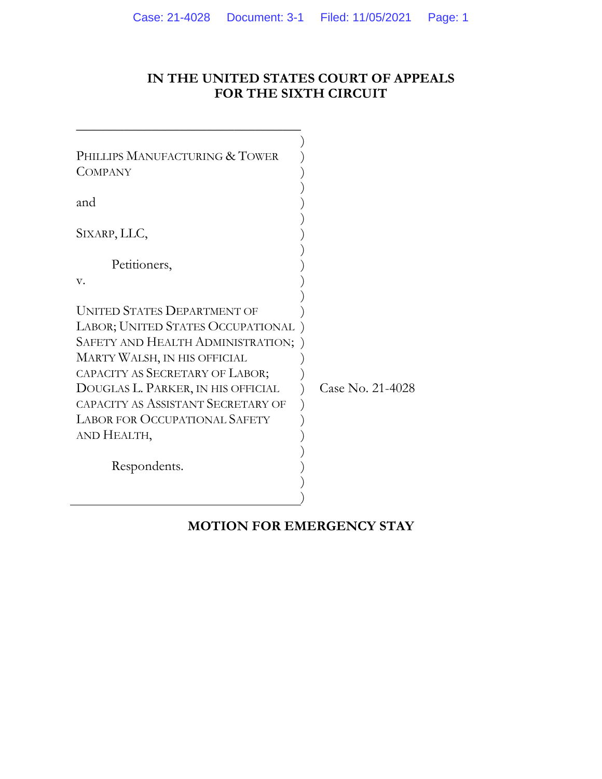# **IN THE UNITED STATES COURT OF APPEALS FOR THE SIXTH CIRCUIT**

| PHILLIPS MANUFACTURING & TOWER<br><b>COMPANY</b>                                                                                                                                                                                                                                                                   |                  |
|--------------------------------------------------------------------------------------------------------------------------------------------------------------------------------------------------------------------------------------------------------------------------------------------------------------------|------------------|
| and                                                                                                                                                                                                                                                                                                                |                  |
| SIXARP, LLC,                                                                                                                                                                                                                                                                                                       |                  |
| Petitioners,                                                                                                                                                                                                                                                                                                       |                  |
| V.                                                                                                                                                                                                                                                                                                                 |                  |
| <b>UNITED STATES DEPARTMENT OF</b><br>LABOR; UNITED STATES OCCUPATIONAL<br>SAFETY AND HEALTH ADMINISTRATION;<br>MARTY WALSH, IN HIS OFFICIAL<br>CAPACITY AS SECRETARY OF LABOR;<br>DOUGLAS L. PARKER, IN HIS OFFICIAL<br>CAPACITY AS ASSISTANT SECRETARY OF<br><b>LABOR FOR OCCUPATIONAL SAFETY</b><br>AND HEALTH, | Case No. 21-4028 |
| Respondents.                                                                                                                                                                                                                                                                                                       |                  |

\_\_\_\_\_\_\_\_\_\_\_\_\_\_\_\_\_\_\_\_\_\_\_\_\_\_\_\_\_\_\_\_\_

# **MOTION FOR EMERGENCY STAY**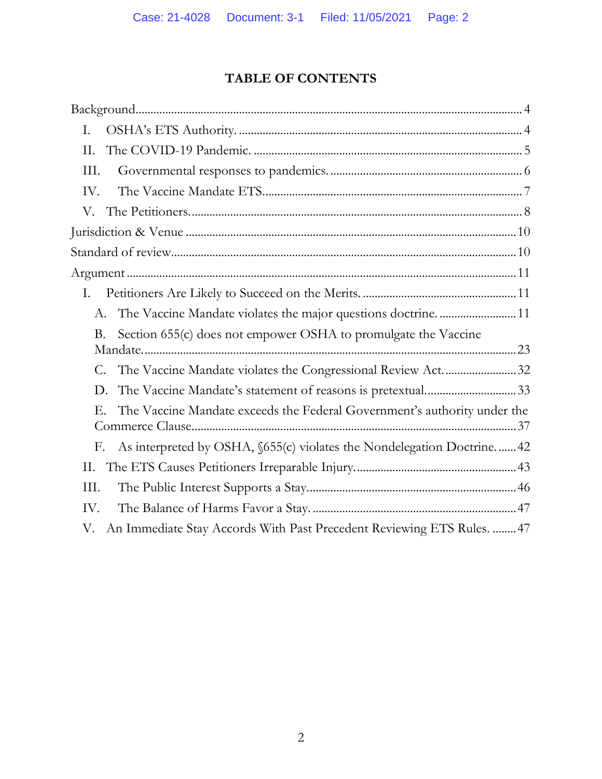# **TABLE OF CONTENTS**

| I.                                                                             |
|--------------------------------------------------------------------------------|
| II.                                                                            |
| III.                                                                           |
| IV.                                                                            |
|                                                                                |
|                                                                                |
|                                                                                |
|                                                                                |
| I.                                                                             |
| A. The Vaccine Mandate violates the major questions doctrine.  11              |
| Section 655(c) does not empower OSHA to promulgate the Vaccine<br>Β.           |
| C. The Vaccine Mandate violates the Congressional Review Act32                 |
| The Vaccine Mandate's statement of reasons is pretextual33<br>D.               |
| The Vaccine Mandate exceeds the Federal Government's authority under the<br>E. |
| As interpreted by OSHA, §655(c) violates the Nondelegation Doctrine 42<br>F.   |
| Н.                                                                             |
| III.                                                                           |
| IV.                                                                            |
| An Immediate Stay Accords With Past Precedent Reviewing ETS Rules.  47<br>V.   |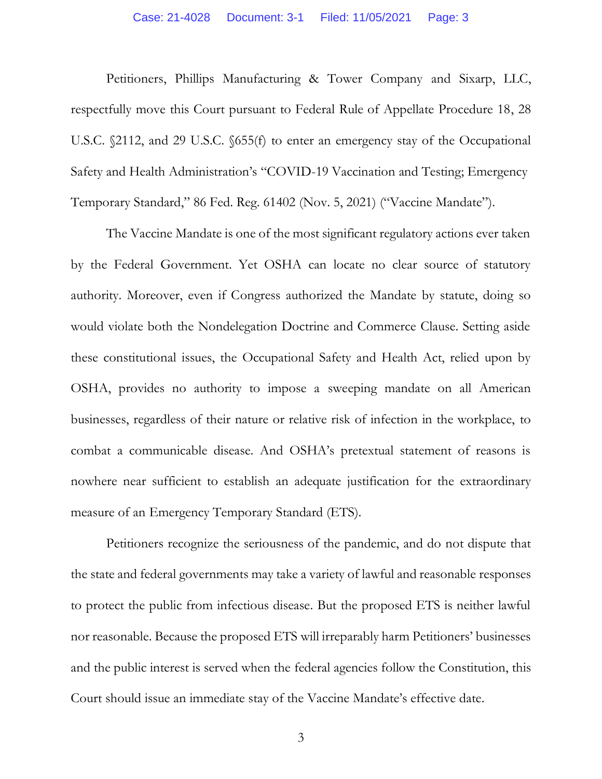#### Case: 21-4028 Document: 3-1 Filed: 11/05/2021 Page: 3

Petitioners, Phillips Manufacturing & Tower Company and Sixarp, LLC, respectfully move this Court pursuant to Federal Rule of Appellate Procedure 18, 28 U.S.C. §2112, and 29 U.S.C. §655(f) to enter an emergency stay of the Occupational Safety and Health Administration's "COVID-19 Vaccination and Testing; Emergency Temporary Standard," 86 Fed. Reg. 61402 (Nov. 5, 2021) ("Vaccine Mandate").

The Vaccine Mandate is one of the most significant regulatory actions ever taken by the Federal Government. Yet OSHA can locate no clear source of statutory authority. Moreover, even if Congress authorized the Mandate by statute, doing so would violate both the Nondelegation Doctrine and Commerce Clause. Setting aside these constitutional issues, the Occupational Safety and Health Act, relied upon by OSHA, provides no authority to impose a sweeping mandate on all American businesses, regardless of their nature or relative risk of infection in the workplace, to combat a communicable disease. And OSHA's pretextual statement of reasons is nowhere near sufficient to establish an adequate justification for the extraordinary measure of an Emergency Temporary Standard (ETS).

Petitioners recognize the seriousness of the pandemic, and do not dispute that the state and federal governments may take a variety of lawful and reasonable responses to protect the public from infectious disease. But the proposed ETS is neither lawful nor reasonable. Because the proposed ETS will irreparably harm Petitioners' businesses and the public interest is served when the federal agencies follow the Constitution, this Court should issue an immediate stay of the Vaccine Mandate's effective date.

3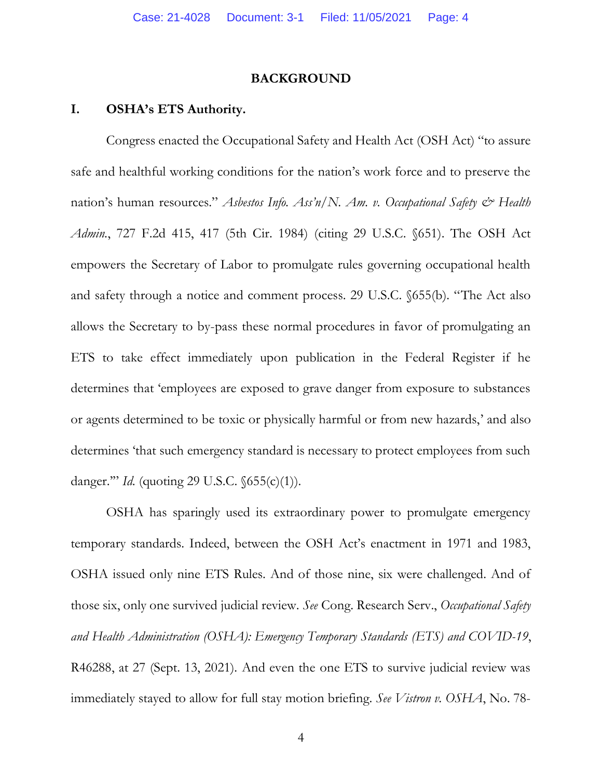### **BACKGROUND**

# **I. OSHA's ETS Authority.**

Congress enacted the Occupational Safety and Health Act (OSH Act) "to assure safe and healthful working conditions for the nation's work force and to preserve the nation's human resources." Asbestos Info. Ass'n/N. Am. v. Occupational Safety & Health *Admin.*, 727 F.2d 415, 417 (5th Cir. 1984) (citing 29 U.S.C. §651). The OSH Act empowers the Secretary of Labor to promulgate rules governing occupational health and safety through a notice and comment process. 29 U.S.C. §655(b). "The Act also allows the Secretary to by-pass these normal procedures in favor of promulgating an ETS to take effect immediately upon publication in the Federal Register if he determines that 'employees are exposed to grave danger from exposure to substances or agents determined to be toxic or physically harmful or from new hazards,' and also determines 'that such emergency standard is necessary to protect employees from such danger.'" *Id.* (quoting 29 U.S.C. §655(c)(1)).

OSHA has sparingly used its extraordinary power to promulgate emergency temporary standards. Indeed, between the OSH Act's enactment in 1971 and 1983, OSHA issued only nine ETS Rules. And of those nine, six were challenged. And of those six, only one survived judicial review. *See* Cong. Research Serv., *Occupational Safety and Health Administration (OSHA): Emergency Temporary Standards (ETS) and COVID-19*, R46288, at 27 (Sept. 13, 2021). And even the one ETS to survive judicial review was immediately stayed to allow for full stay motion briefing. *See Vistron v. OSHA*, No. 78-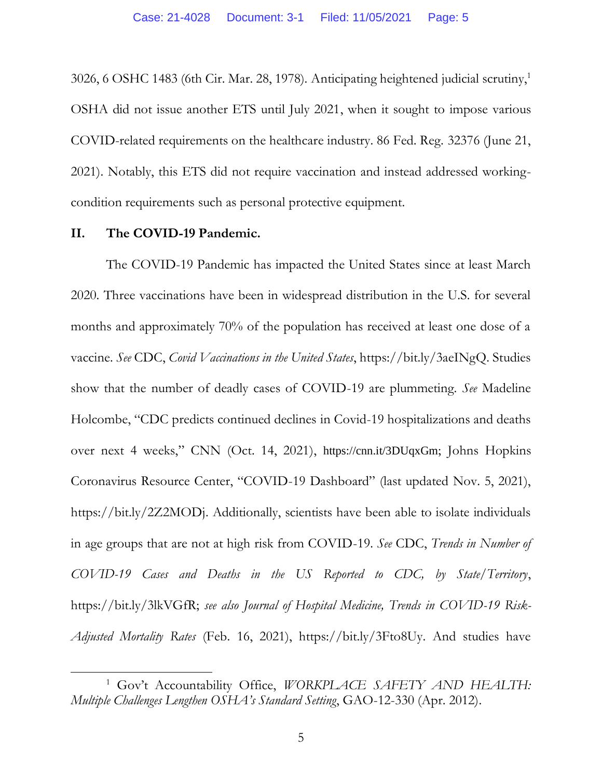3026, 6 OSHC 1483 (6th Cir. Mar. 28, 1978). Anticipating heightened judicial scrutiny, 1 OSHA did not issue another ETS until July 2021, when it sought to impose various COVID-related requirements on the healthcare industry. 86 Fed. Reg. 32376 (June 21, 2021). Notably, this ETS did not require vaccination and instead addressed workingcondition requirements such as personal protective equipment.

### **II. The COVID-19 Pandemic.**

The COVID-19 Pandemic has impacted the United States since at least March 2020. Three vaccinations have been in widespread distribution in the U.S. for several months and approximately 70% of the population has received at least one dose of a vaccine. *See* CDC, *Covid Vaccinations in the United States*, https://bit.ly/3aeINgQ. Studies show that the number of deadly cases of COVID-19 are plummeting. *See* Madeline Holcombe, "CDC predicts continued declines in Covid-19 hospitalizations and deaths over next 4 weeks," CNN (Oct. 14, 2021), https://cnn.it/3DUqxGm; Johns Hopkins Coronavirus Resource Center, "COVID-19 Dashboard" (last updated Nov. 5, 2021), https://bit.ly/2Z2MODj. Additionally, scientists have been able to isolate individuals in age groups that are not at high risk from COVID-19. *See* CDC, *Trends in Number of COVID-19 Cases and Deaths in the US Reported to CDC, by State/Territory*, https://bit.ly/3lkVGfR; *see also Journal of Hospital Medicine, Trends in COVID-19 Risk-Adjusted Mortality Rates* (Feb. 16, 2021), https://bit.ly/3Fto8Uy. And studies have

<sup>&</sup>lt;sup>1</sup> Gov't Accountability Office, *WORKPLACE SAFETY AND HEALTH: Multiple Challenges Lengthen OSHA's Standard Setting*, GAO-12-330 (Apr. 2012).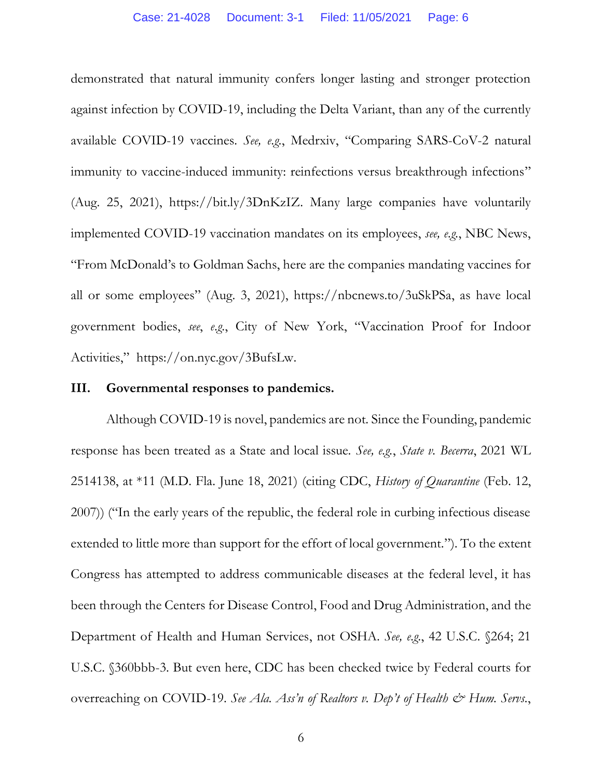demonstrated that natural immunity confers longer lasting and stronger protection against infection by COVID-19, including the Delta Variant, than any of the currently available COVID-19 vaccines. *See, e.g.*, Medrxiv, "Comparing SARS-CoV-2 natural immunity to vaccine-induced immunity: reinfections versus breakthrough infections" (Aug. 25, 2021), https://bit.ly/3DnKzIZ. Many large companies have voluntarily implemented COVID-19 vaccination mandates on its employees, *see, e.g.*, NBC News, "From McDonald's to Goldman Sachs, here are the companies mandating vaccines for all or some employees" (Aug. 3, 2021), https://nbcnews.to/3uSkPSa, as have local government bodies, *see*, *e.g.*, City of New York, "Vaccination Proof for Indoor Activities," https://on.nyc.gov/3BufsLw.

#### **III. Governmental responses to pandemics.**

Although COVID-19 is novel, pandemics are not. Since the Founding, pandemic response has been treated as a State and local issue. *See, e.g.*, *State v. Becerra*, 2021 WL 2514138, at \*11 (M.D. Fla. June 18, 2021) (citing CDC, *History of Quarantine* (Feb. 12, 2007)) ("In the early years of the republic, the federal role in curbing infectious disease extended to little more than support for the effort of local government."). To the extent Congress has attempted to address communicable diseases at the federal level, it has been through the Centers for Disease Control, Food and Drug Administration, and the Department of Health and Human Services, not OSHA. *See, e.g.*, 42 U.S.C. §264; 21 U.S.C. §360bbb-3. But even here, CDC has been checked twice by Federal courts for overreaching on COVID-19. *See Ala. Ass'n of Realtors v. Dep't of Health & Hum. Servs.*,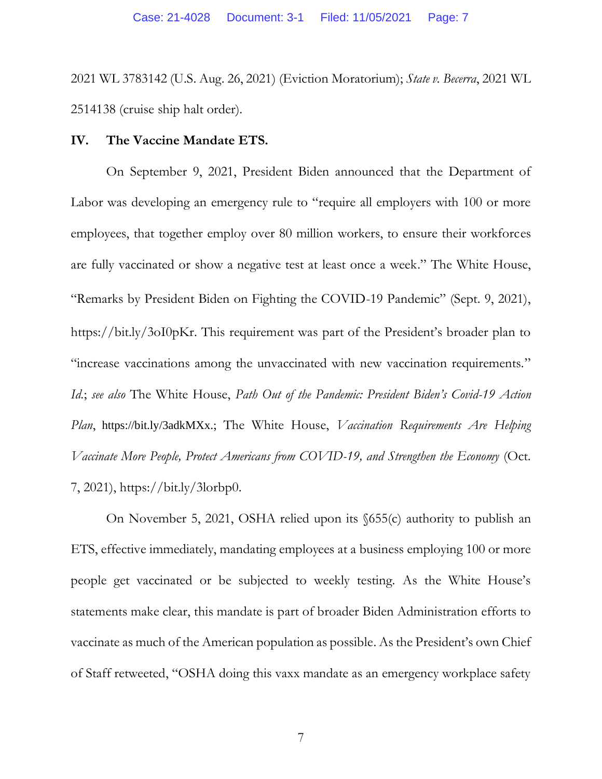2021 WL 3783142 (U.S. Aug. 26, 2021) (Eviction Moratorium); *State v. Becerra*, 2021 WL 2514138 (cruise ship halt order).

### **IV. The Vaccine Mandate ETS.**

On September 9, 2021, President Biden announced that the Department of Labor was developing an emergency rule to "require all employers with 100 or more employees, that together employ over 80 million workers, to ensure their workforces are fully vaccinated or show a negative test at least once a week." The White House, "Remarks by President Biden on Fighting the COVID-19 Pandemic" (Sept. 9, 2021), https://bit.ly/3oI0pKr. This requirement was part of the President's broader plan to "increase vaccinations among the unvaccinated with new vaccination requirements." *Id.*; *see also* The White House, *Path Out of the Pandemic: President Biden's Covid-19 Action Plan*, https://bit.ly/3adkMXx.; The White House, *Vaccination Requirements Are Helping Vaccinate More People, Protect Americans from COVID-19, and Strengthen the Economy* (Oct. 7, 2021), https://bit.ly/3lorbp0.

On November 5, 2021, OSHA relied upon its §655(c) authority to publish an ETS, effective immediately, mandating employees at a business employing 100 or more people get vaccinated or be subjected to weekly testing. As the White House's statements make clear, this mandate is part of broader Biden Administration efforts to vaccinate as much of the American population as possible. As the President's own Chief of Staff retweeted, "OSHA doing this vaxx mandate as an emergency workplace safety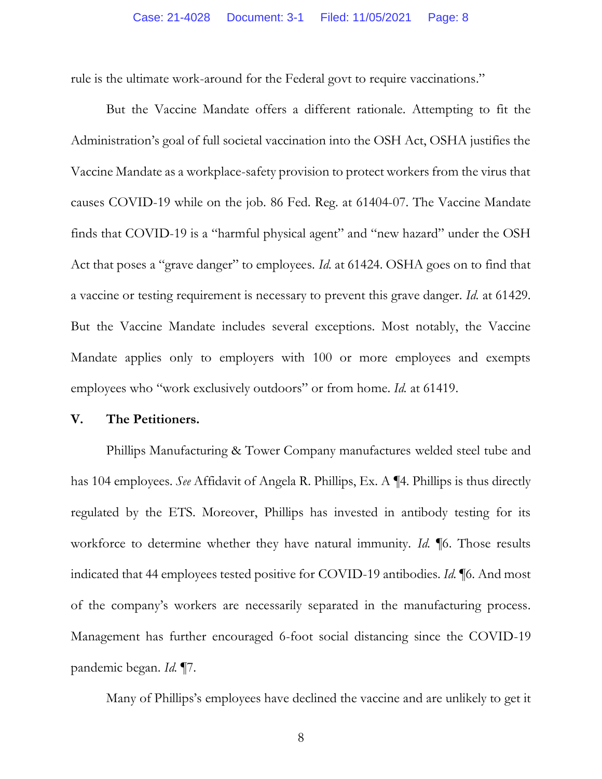rule is the ultimate work-around for the Federal govt to require vaccinations."

But the Vaccine Mandate offers a different rationale. Attempting to fit the Administration's goal of full societal vaccination into the OSH Act, OSHA justifies the Vaccine Mandate as a workplace-safety provision to protect workers from the virus that causes COVID-19 while on the job. 86 Fed. Reg. at 61404-07. The Vaccine Mandate finds that COVID-19 is a "harmful physical agent" and "new hazard" under the OSH Act that poses a "grave danger" to employees. *Id.* at 61424. OSHA goes on to find that a vaccine or testing requirement is necessary to prevent this grave danger. *Id.* at 61429. But the Vaccine Mandate includes several exceptions. Most notably, the Vaccine Mandate applies only to employers with 100 or more employees and exempts employees who "work exclusively outdoors" or from home. *Id.* at 61419.

#### **V. The Petitioners.**

Phillips Manufacturing & Tower Company manufactures welded steel tube and has 104 employees. *See* Affidavit of Angela R. Phillips, Ex. A ¶4. Phillips is thus directly regulated by the ETS. Moreover, Phillips has invested in antibody testing for its workforce to determine whether they have natural immunity. *Id.* ¶6. Those results indicated that 44 employees tested positive for COVID-19 antibodies. *Id.* ¶6. And most of the company's workers are necessarily separated in the manufacturing process. Management has further encouraged 6-foot social distancing since the COVID-19 pandemic began. *Id.* ¶7.

Many of Phillips's employees have declined the vaccine and are unlikely to get it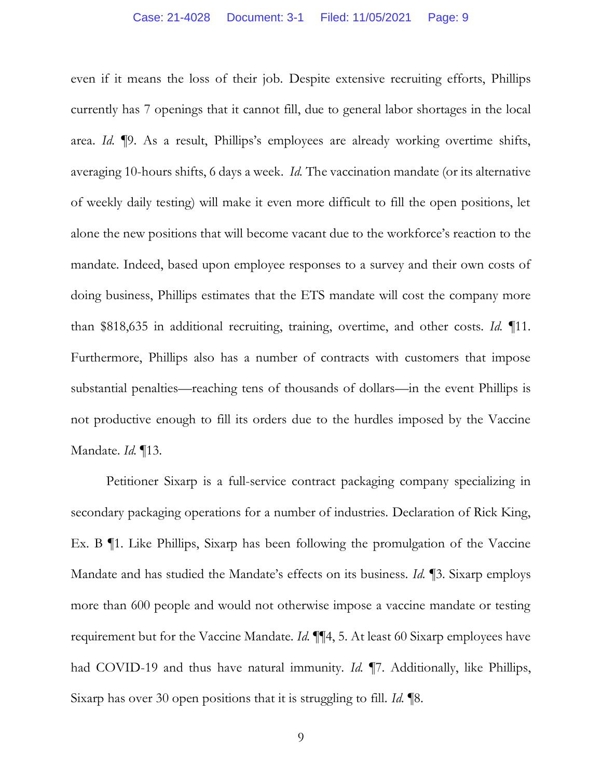even if it means the loss of their job. Despite extensive recruiting efforts, Phillips currently has 7 openings that it cannot fill, due to general labor shortages in the local area. *Id.* ¶9. As a result, Phillips's employees are already working overtime shifts, averaging 10-hours shifts, 6 days a week. *Id.* The vaccination mandate (or its alternative of weekly daily testing) will make it even more difficult to fill the open positions, let alone the new positions that will become vacant due to the workforce's reaction to the mandate. Indeed, based upon employee responses to a survey and their own costs of doing business, Phillips estimates that the ETS mandate will cost the company more than \$818,635 in additional recruiting, training, overtime, and other costs. *Id.* ¶11. Furthermore, Phillips also has a number of contracts with customers that impose substantial penalties—reaching tens of thousands of dollars—in the event Phillips is not productive enough to fill its orders due to the hurdles imposed by the Vaccine Mandate. *Id.* ¶13.

Petitioner Sixarp is a full-service contract packaging company specializing in secondary packaging operations for a number of industries. Declaration of Rick King, Ex. B ¶1. Like Phillips, Sixarp has been following the promulgation of the Vaccine Mandate and has studied the Mandate's effects on its business. *Id.* ¶3. Sixarp employs more than 600 people and would not otherwise impose a vaccine mandate or testing requirement but for the Vaccine Mandate. *Id.* ¶¶4, 5. At least 60 Sixarp employees have had COVID-19 and thus have natural immunity. *Id.* ¶7. Additionally, like Phillips, Sixarp has over 30 open positions that it is struggling to fill. *Id.* ¶8.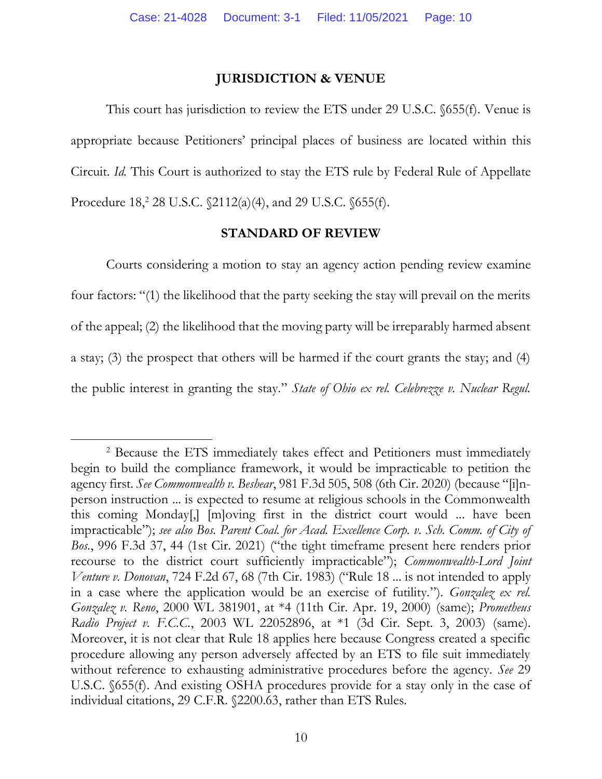# **JURISDICTION & VENUE**

This court has jurisdiction to review the ETS under 29 U.S.C. §655(f). Venue is appropriate because Petitioners' principal places of business are located within this Circuit. *Id.* This Court is authorized to stay the ETS rule by Federal Rule of Appellate Procedure 18,<sup>2</sup> 28 U.S.C.  $\frac{2112(a)(4)}{a}$ , and 29 U.S.C.  $\frac{655(f)}{b}$ .

### **STANDARD OF REVIEW**

Courts considering a motion to stay an agency action pending review examine four factors: "(1) the likelihood that the party seeking the stay will prevail on the merits of the appeal; (2) the likelihood that the moving party will be irreparably harmed absent a stay; (3) the prospect that others will be harmed if the court grants the stay; and (4) the public interest in granting the stay." *State of Ohio ex rel. Celebrezze v. Nuclear Regul.* 

<sup>2</sup> Because the ETS immediately takes effect and Petitioners must immediately begin to build the compliance framework, it would be impracticable to petition the agency first. *See Commonwealth v. Beshear*, 981 F.3d 505, 508 (6th Cir. 2020) (because "[i]nperson instruction ... is expected to resume at religious schools in the Commonwealth this coming Monday[,] [m]oving first in the district court would ... have been impracticable"); *see also Bos. Parent Coal. for Acad. Excellence Corp. v. Sch. Comm. of City of Bos.*, 996 F.3d 37, 44 (1st Cir. 2021) ("the tight timeframe present here renders prior recourse to the district court sufficiently impracticable"); *Commonwealth-Lord Joint Venture v. Donovan*, 724 F.2d 67, 68 (7th Cir. 1983) ("Rule 18 ... is not intended to apply in a case where the application would be an exercise of futility."). *Gonzalez ex rel. Gonzalez v. Reno*, 2000 WL 381901, at \*4 (11th Cir. Apr. 19, 2000) (same); *Prometheus Radio Project v. F.C.C.*, 2003 WL 22052896, at \*1 (3d Cir. Sept. 3, 2003) (same). Moreover, it is not clear that Rule 18 applies here because Congress created a specific procedure allowing any person adversely affected by an ETS to file suit immediately without reference to exhausting administrative procedures before the agency. *See* 29 U.S.C. §655(f). And existing OSHA procedures provide for a stay only in the case of individual citations, 29 C.F.R. §2200.63, rather than ETS Rules.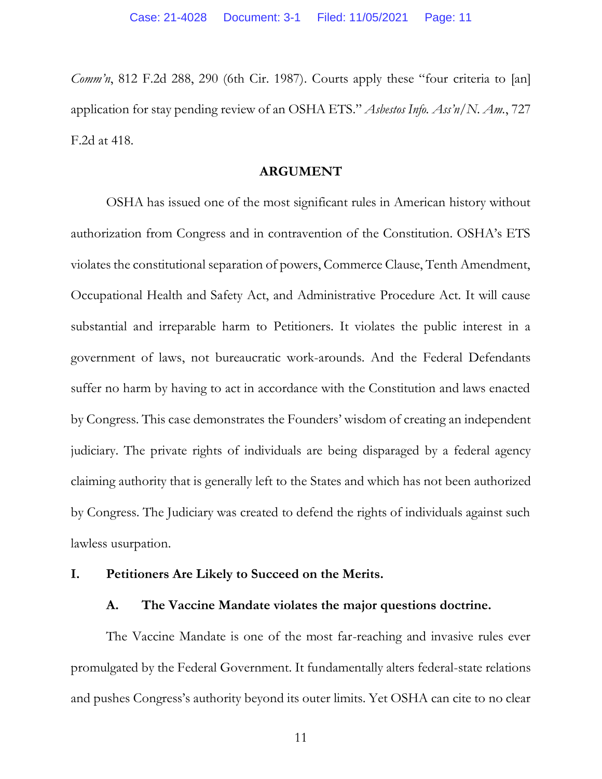*Comm'n*, 812 F.2d 288, 290 (6th Cir. 1987). Courts apply these "four criteria to [an] application for stay pending review of an OSHA ETS." *Asbestos Info. Ass'n/N. Am.*, 727 F.2d at 418.

### **ARGUMENT**

OSHA has issued one of the most significant rules in American history without authorization from Congress and in contravention of the Constitution. OSHA's ETS violates the constitutional separation of powers, Commerce Clause, Tenth Amendment, Occupational Health and Safety Act, and Administrative Procedure Act. It will cause substantial and irreparable harm to Petitioners. It violates the public interest in a government of laws, not bureaucratic work-arounds. And the Federal Defendants suffer no harm by having to act in accordance with the Constitution and laws enacted by Congress. This case demonstrates the Founders' wisdom of creating an independent judiciary. The private rights of individuals are being disparaged by a federal agency claiming authority that is generally left to the States and which has not been authorized by Congress. The Judiciary was created to defend the rights of individuals against such lawless usurpation.

# **I. Petitioners Are Likely to Succeed on the Merits.**

### **A. The Vaccine Mandate violates the major questions doctrine.**

The Vaccine Mandate is one of the most far-reaching and invasive rules ever promulgated by the Federal Government. It fundamentally alters federal-state relations and pushes Congress's authority beyond its outer limits. Yet OSHA can cite to no clear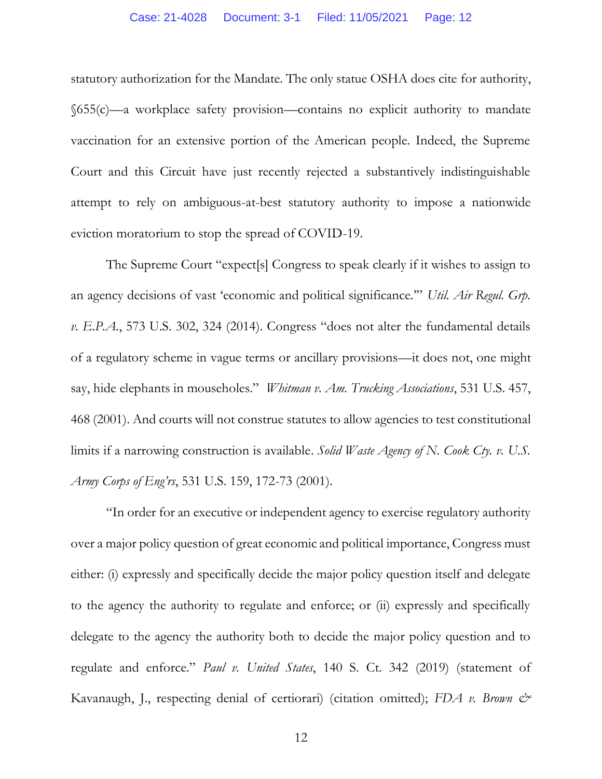#### Case: 21-4028 Document: 3-1 Filed: 11/05/2021 Page: 12

statutory authorization for the Mandate. The only statue OSHA does cite for authority, §655(c)—a workplace safety provision—contains no explicit authority to mandate vaccination for an extensive portion of the American people. Indeed, the Supreme Court and this Circuit have just recently rejected a substantively indistinguishable attempt to rely on ambiguous-at-best statutory authority to impose a nationwide eviction moratorium to stop the spread of COVID-19.

The Supreme Court "expect[s] Congress to speak clearly if it wishes to assign to an agency decisions of vast 'economic and political significance.'" *Util. Air Regul. Grp. v. E.P.A.*, 573 U.S. 302, 324 (2014). Congress "does not alter the fundamental details of a regulatory scheme in vague terms or ancillary provisions—it does not, one might say, hide elephants in mouseholes." *Whitman v. Am. Trucking Associations*, 531 U.S. 457, 468 (2001). And courts will not construe statutes to allow agencies to test constitutional limits if a narrowing construction is available. *Solid Waste Agency of N. Cook Cty. v. U.S. Army Corps of Eng'rs*, 531 U.S. 159, 172-73 (2001).

"In order for an executive or independent agency to exercise regulatory authority over a major policy question of great economic and political importance, Congress must either: (i) expressly and specifically decide the major policy question itself and delegate to the agency the authority to regulate and enforce; or (ii) expressly and specifically delegate to the agency the authority both to decide the major policy question and to regulate and enforce." *Paul v. United States*, 140 S. Ct. 342 (2019) (statement of Kavanaugh, J., respecting denial of certiorari) (citation omitted); *FDA v. Brown &*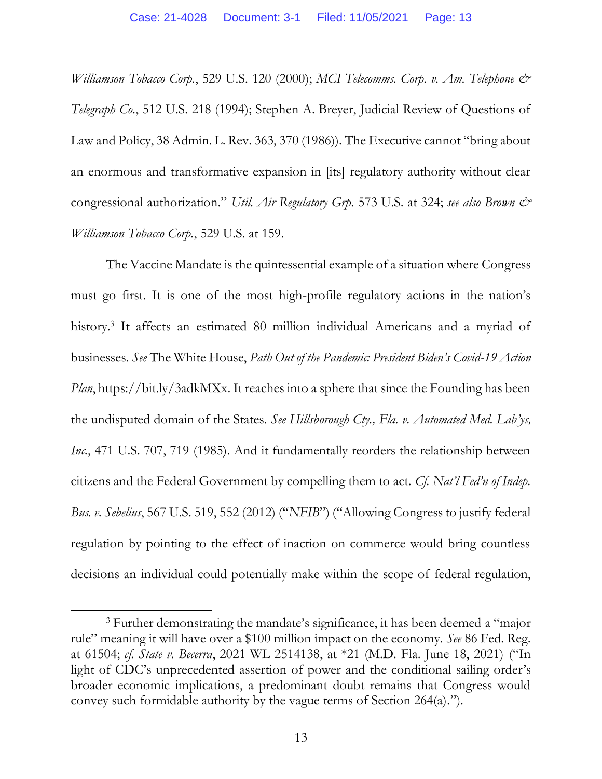*Williamson Tobacco Corp.*, 529 U.S. 120 (2000); *MCI Telecomms. Corp. v. Am. Telephone & Telegraph Co.*, 512 U.S. 218 (1994); Stephen A. Breyer, Judicial Review of Questions of Law and Policy, 38 Admin. L. Rev. 363, 370 (1986)). The Executive cannot "bring about an enormous and transformative expansion in [its] regulatory authority without clear congressional authorization." *Util. Air Regulatory Grp.* 573 U.S. at 324; *see also Brown & Williamson Tobacco Corp.*, 529 U.S. at 159.

The Vaccine Mandate is the quintessential example of a situation where Congress must go first. It is one of the most high-profile regulatory actions in the nation's history.<sup>3</sup> It affects an estimated 80 million individual Americans and a myriad of businesses. *See* The White House, *Path Out of the Pandemic: President Biden's Covid-19 Action Plan*, https://bit.ly/3adkMXx. It reaches into a sphere that since the Founding has been the undisputed domain of the States. *See Hillsborough Cty., Fla. v. Automated Med. Lab'ys, Inc.*, 471 U.S. 707, 719 (1985). And it fundamentally reorders the relationship between citizens and the Federal Government by compelling them to act. *Cf. Nat'l Fed'n of Indep. Bus. v. Sebelius*, 567 U.S. 519, 552 (2012) ("*NFIB*") ("Allowing Congress to justify federal regulation by pointing to the effect of inaction on commerce would bring countless decisions an individual could potentially make within the scope of federal regulation,

<sup>&</sup>lt;sup>3</sup> Further demonstrating the mandate's significance, it has been deemed a "major" rule" meaning it will have over a \$100 million impact on the economy. *See* 86 Fed. Reg. at 61504; *cf. State v. Becerra*, 2021 WL 2514138, at \*21 (M.D. Fla. June 18, 2021) ("In light of CDC's unprecedented assertion of power and the conditional sailing order's broader economic implications, a predominant doubt remains that Congress would convey such formidable authority by the vague terms of Section 264(a).").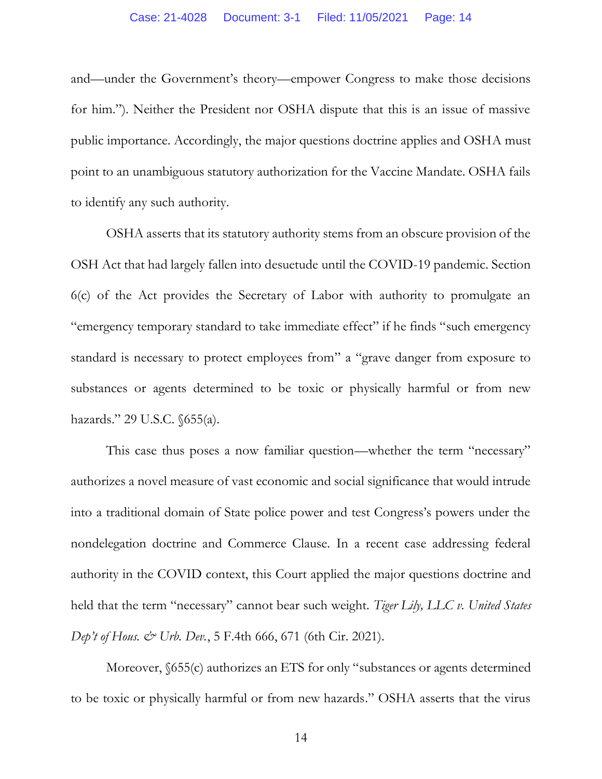and—under the Government's theory—empower Congress to make those decisions for him."). Neither the President nor OSHA dispute that this is an issue of massive public importance. Accordingly, the major questions doctrine applies and OSHA must point to an unambiguous statutory authorization for the Vaccine Mandate. OSHA fails to identify any such authority.

OSHA asserts that its statutory authority stems from an obscure provision of the OSH Act that had largely fallen into desuetude until the COVID-19 pandemic. Section 6(c) of the Act provides the Secretary of Labor with authority to promulgate an "emergency temporary standard to take immediate effect" if he finds "such emergency standard is necessary to protect employees from" a "grave danger from exposure to substances or agents determined to be toxic or physically harmful or from new hazards." 29 U.S.C. §655(a).

This case thus poses a now familiar question—whether the term "necessary" authorizes a novel measure of vast economic and social significance that would intrude into a traditional domain of State police power and test Congress's powers under the nondelegation doctrine and Commerce Clause. In a recent case addressing federal authority in the COVID context, this Court applied the major questions doctrine and held that the term "necessary" cannot bear such weight. *Tiger Lily, LLC v. United States Dep't of Hous. & Urb. Dev.*, 5 F.4th 666, 671 (6th Cir. 2021).

Moreover,  $\delta$ 655(c) authorizes an ETS for only "substances or agents determined to be toxic or physically harmful or from new hazards." OSHA asserts that the virus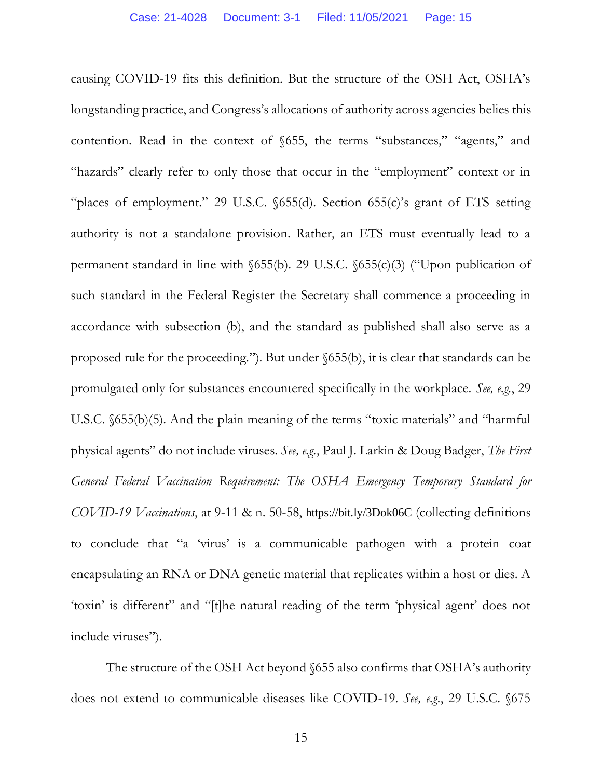causing COVID-19 fits this definition. But the structure of the OSH Act, OSHA's longstanding practice, and Congress's allocations of authority across agencies belies this contention. Read in the context of §655, the terms "substances," "agents," and "hazards" clearly refer to only those that occur in the "employment" context or in "places of employment." 29 U.S.C. §655(d). Section 655(c)'s grant of ETS setting authority is not a standalone provision. Rather, an ETS must eventually lead to a permanent standard in line with §655(b). 29 U.S.C. §655(c)(3) ("Upon publication of such standard in the Federal Register the Secretary shall commence a proceeding in accordance with subsection (b), and the standard as published shall also serve as a proposed rule for the proceeding."). But under §655(b), it is clear that standards can be promulgated only for substances encountered specifically in the workplace. *See, e.g.*, 29 U.S.C. §655(b)(5). And the plain meaning of the terms "toxic materials" and "harmful physical agents" do not include viruses. *See, e.g.*, Paul J. Larkin & Doug Badger, *The First General Federal Vaccination Requirement: The OSHA Emergency Temporary Standard for COVID-19 Vaccinations*, at 9-11 & n. 50-58, https://bit.ly/3Dok06C (collecting definitions to conclude that "a 'virus' is a communicable pathogen with a protein coat encapsulating an RNA or DNA genetic material that replicates within a host or dies. A 'toxin' is different" and "[t]he natural reading of the term 'physical agent' does not include viruses").

The structure of the OSH Act beyond §655 also confirms that OSHA's authority does not extend to communicable diseases like COVID-19. *See, e.g.*, 29 U.S.C. §675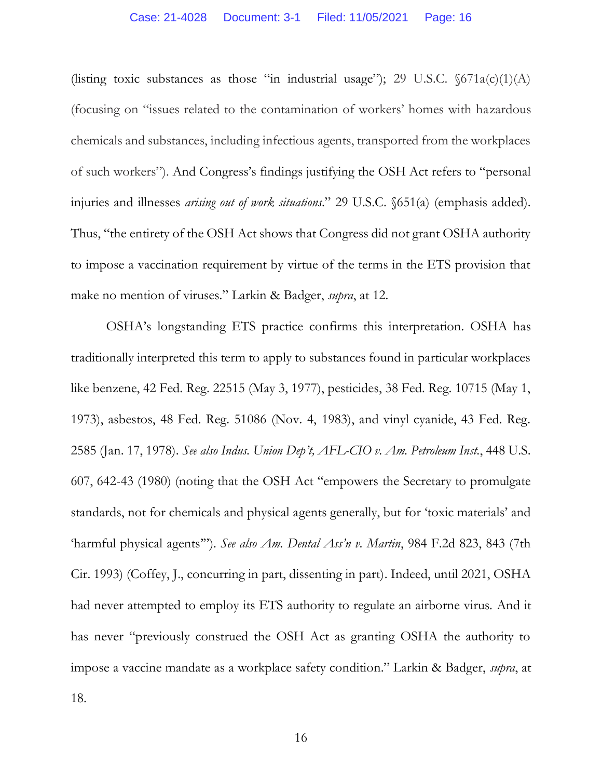(listing toxic substances as those "in industrial usage"); 29 U.S.C.  $\delta$ 671a(c)(1)(A) (focusing on "issues related to the contamination of workers' homes with hazardous chemicals and substances, including infectious agents, transported from the workplaces of such workers"). And Congress's findings justifying the OSH Act refers to "personal injuries and illnesses *arising out of work situations*." 29 U.S.C. §651(a) (emphasis added). Thus, "the entirety of the OSH Act shows that Congress did not grant OSHA authority to impose a vaccination requirement by virtue of the terms in the ETS provision that make no mention of viruses." Larkin & Badger, *supra*, at 12.

OSHA's longstanding ETS practice confirms this interpretation. OSHA has traditionally interpreted this term to apply to substances found in particular workplaces like benzene, 42 Fed. Reg. 22515 (May 3, 1977), pesticides, 38 Fed. Reg. 10715 (May 1, 1973), asbestos, 48 Fed. Reg. 51086 (Nov. 4, 1983), and vinyl cyanide, 43 Fed. Reg. 2585 (Jan. 17, 1978). *See also Indus. Union Dep't, AFL-CIO v. Am. Petroleum Inst.*, 448 U.S. 607, 642-43 (1980) (noting that the OSH Act "empowers the Secretary to promulgate standards, not for chemicals and physical agents generally, but for 'toxic materials' and 'harmful physical agents'"). *See also Am. Dental Ass'n v. Martin*, 984 F.2d 823, 843 (7th Cir. 1993) (Coffey, J., concurring in part, dissenting in part). Indeed, until 2021, OSHA had never attempted to employ its ETS authority to regulate an airborne virus. And it has never "previously construed the OSH Act as granting OSHA the authority to impose a vaccine mandate as a workplace safety condition." Larkin & Badger, *supra*, at 18.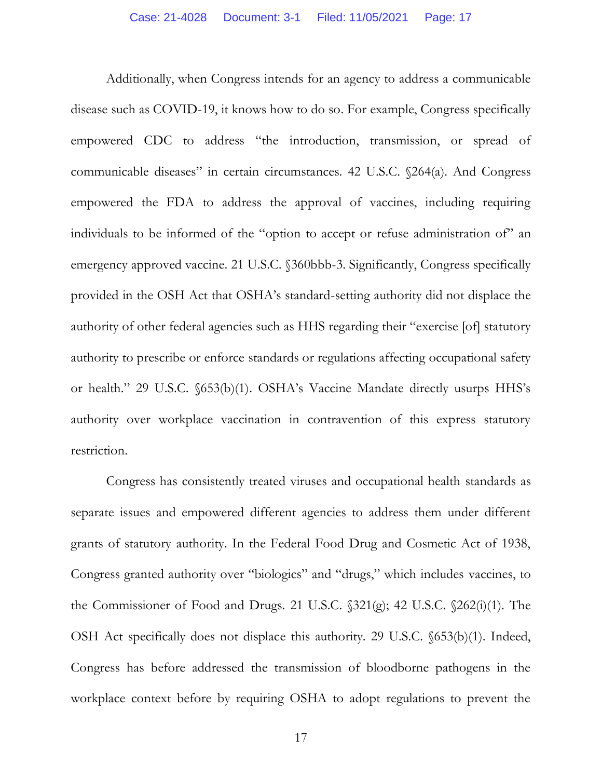Additionally, when Congress intends for an agency to address a communicable disease such as COVID-19, it knows how to do so. For example, Congress specifically empowered CDC to address "the introduction, transmission, or spread of communicable diseases" in certain circumstances. 42 U.S.C. §264(a). And Congress empowered the FDA to address the approval of vaccines, including requiring individuals to be informed of the "option to accept or refuse administration of" an emergency approved vaccine. 21 U.S.C. §360bbb-3. Significantly, Congress specifically provided in the OSH Act that OSHA's standard-setting authority did not displace the authority of other federal agencies such as HHS regarding their "exercise [of] statutory authority to prescribe or enforce standards or regulations affecting occupational safety or health." 29 U.S.C. §653(b)(1). OSHA's Vaccine Mandate directly usurps HHS's authority over workplace vaccination in contravention of this express statutory restriction.

Congress has consistently treated viruses and occupational health standards as separate issues and empowered different agencies to address them under different grants of statutory authority. In the Federal Food Drug and Cosmetic Act of 1938, Congress granted authority over "biologics" and "drugs," which includes vaccines, to the Commissioner of Food and Drugs. 21 U.S.C. §321(g); 42 U.S.C. §262(i)(1). The OSH Act specifically does not displace this authority. 29 U.S.C. §653(b)(1). Indeed, Congress has before addressed the transmission of bloodborne pathogens in the workplace context before by requiring OSHA to adopt regulations to prevent the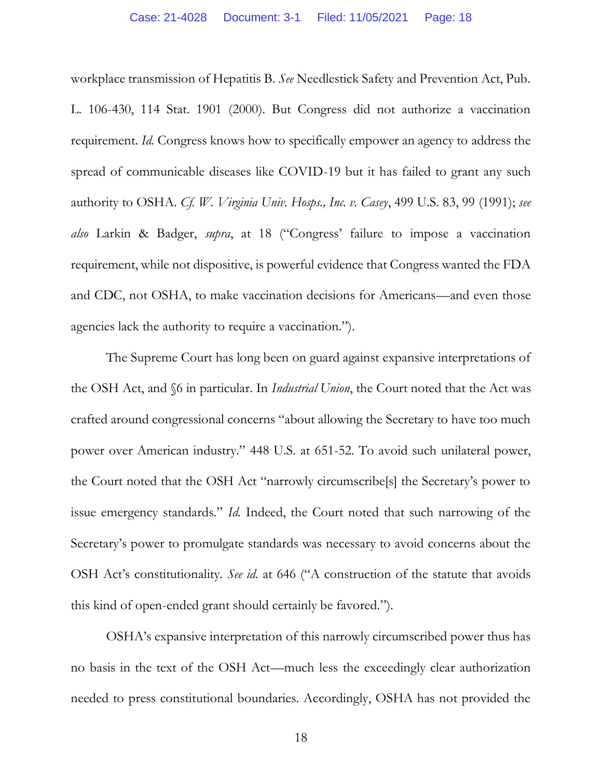workplace transmission of Hepatitis B. *See* Needlestick Safety and Prevention Act, Pub. L. 106-430, 114 Stat. 1901 (2000). But Congress did not authorize a vaccination requirement. *Id.* Congress knows how to specifically empower an agency to address the spread of communicable diseases like COVID-19 but it has failed to grant any such authority to OSHA. *Cf. W. Virginia Univ. Hosps., Inc. v. Casey*, 499 U.S. 83, 99 (1991); *see also* Larkin & Badger, *supra*, at 18 ("Congress' failure to impose a vaccination requirement, while not dispositive, is powerful evidence that Congress wanted the FDA and CDC, not OSHA, to make vaccination decisions for Americans—and even those agencies lack the authority to require a vaccination.").

The Supreme Court has long been on guard against expansive interpretations of the OSH Act, and §6 in particular. In *Industrial Union*, the Court noted that the Act was crafted around congressional concerns "about allowing the Secretary to have too much power over American industry." 448 U.S. at 651-52. To avoid such unilateral power, the Court noted that the OSH Act "narrowly circumscribe[s] the Secretary's power to issue emergency standards." *Id.* Indeed, the Court noted that such narrowing of the Secretary's power to promulgate standards was necessary to avoid concerns about the OSH Act's constitutionality. *See id.* at 646 ("A construction of the statute that avoids this kind of open-ended grant should certainly be favored.").

OSHA's expansive interpretation of this narrowly circumscribed power thus has no basis in the text of the OSH Act—much less the exceedingly clear authorization needed to press constitutional boundaries. Accordingly, OSHA has not provided the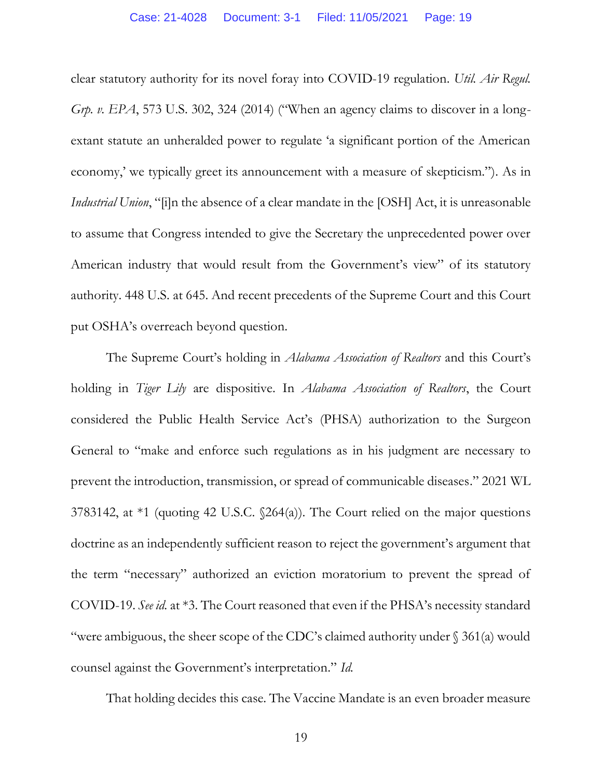clear statutory authority for its novel foray into COVID-19 regulation. *Util. Air Regul. Grp. v. EPA*, 573 U.S. 302, 324 (2014) ("When an agency claims to discover in a longextant statute an unheralded power to regulate 'a significant portion of the American economy,' we typically greet its announcement with a measure of skepticism."). As in *Industrial Union*, "[i]n the absence of a clear mandate in the [OSH] Act, it is unreasonable to assume that Congress intended to give the Secretary the unprecedented power over American industry that would result from the Government's view" of its statutory authority. 448 U.S. at 645. And recent precedents of the Supreme Court and this Court put OSHA's overreach beyond question.

The Supreme Court's holding in *Alabama Association of Realtors* and this Court's holding in *Tiger Lily* are dispositive. In *Alabama Association of Realtors*, the Court considered the Public Health Service Act's (PHSA) authorization to the Surgeon General to "make and enforce such regulations as in his judgment are necessary to prevent the introduction, transmission, or spread of communicable diseases." 2021 WL 3783142, at \*1 (quoting 42 U.S.C. §264(a)). The Court relied on the major questions doctrine as an independently sufficient reason to reject the government's argument that the term "necessary" authorized an eviction moratorium to prevent the spread of COVID-19. *See id.* at \*3. The Court reasoned that even if the PHSA's necessity standard "were ambiguous, the sheer scope of the CDC's claimed authority under § 361(a) would counsel against the Government's interpretation." *Id.* 

That holding decides this case. The Vaccine Mandate is an even broader measure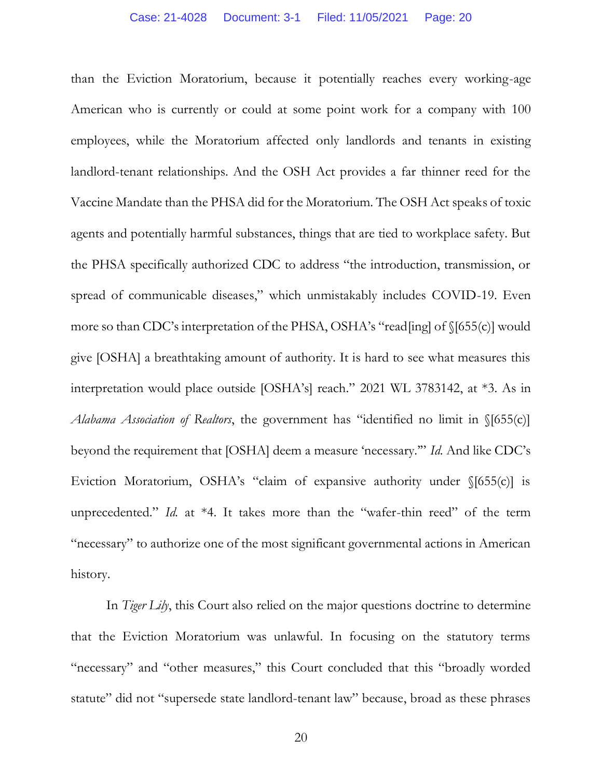than the Eviction Moratorium, because it potentially reaches every working-age American who is currently or could at some point work for a company with 100 employees, while the Moratorium affected only landlords and tenants in existing landlord-tenant relationships. And the OSH Act provides a far thinner reed for the Vaccine Mandate than the PHSA did for the Moratorium. The OSH Act speaks of toxic agents and potentially harmful substances, things that are tied to workplace safety. But the PHSA specifically authorized CDC to address "the introduction, transmission, or spread of communicable diseases," which unmistakably includes COVID-19. Even more so than CDC's interpretation of the PHSA, OSHA's "read[ing] of §[655(c)] would give [OSHA] a breathtaking amount of authority. It is hard to see what measures this interpretation would place outside [OSHA's] reach." 2021 WL 3783142, at \*3. As in *Alabama Association of Realtors*, the government has "identified no limit in §[655(c)] beyond the requirement that [OSHA] deem a measure 'necessary.'" *Id.* And like CDC's Eviction Moratorium, OSHA's "claim of expansive authority under §[655(c)] is unprecedented." *Id.* at \*4. It takes more than the "wafer-thin reed" of the term "necessary" to authorize one of the most significant governmental actions in American history.

In *Tiger Lily*, this Court also relied on the major questions doctrine to determine that the Eviction Moratorium was unlawful. In focusing on the statutory terms "necessary" and "other measures," this Court concluded that this "broadly worded statute" did not "supersede state landlord-tenant law" because, broad as these phrases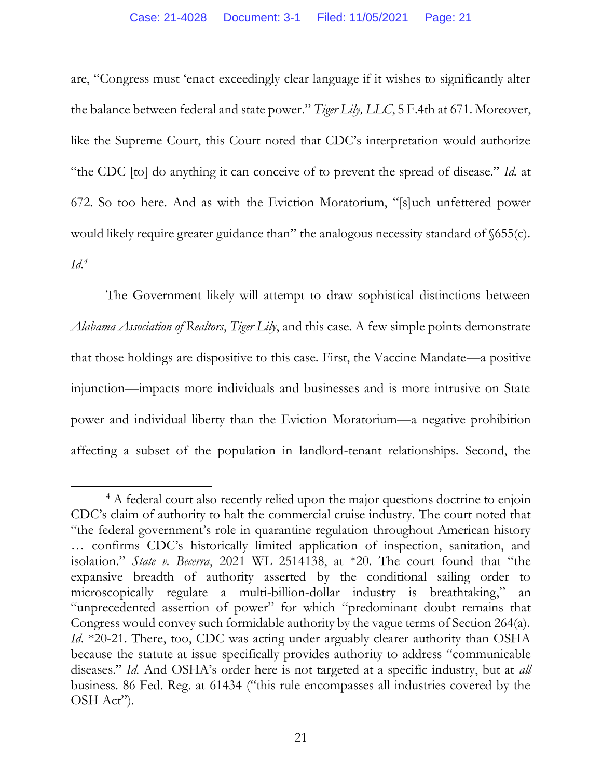are, "Congress must 'enact exceedingly clear language if it wishes to significantly alter the balance between federal and state power." *Tiger Lily, LLC*, 5 F.4th at 671. Moreover, like the Supreme Court, this Court noted that CDC's interpretation would authorize "the CDC [to] do anything it can conceive of to prevent the spread of disease." *Id.* at 672. So too here. And as with the Eviction Moratorium, "[s]uch unfettered power would likely require greater guidance than" the analogous necessity standard of  $\delta$ 655(c).  $Id^4$ 

The Government likely will attempt to draw sophistical distinctions between *Alabama Association of Realtors*, *Tiger Lily*, and this case. A few simple points demonstrate that those holdings are dispositive to this case. First, the Vaccine Mandate—a positive injunction—impacts more individuals and businesses and is more intrusive on State power and individual liberty than the Eviction Moratorium—a negative prohibition affecting a subset of the population in landlord-tenant relationships. Second, the

<sup>&</sup>lt;sup>4</sup> A federal court also recently relied upon the major questions doctrine to enjoin CDC's claim of authority to halt the commercial cruise industry. The court noted that "the federal government's role in quarantine regulation throughout American history … confirms CDC's historically limited application of inspection, sanitation, and isolation." *State v. Becerra*, 2021 WL 2514138, at \*20. The court found that "the expansive breadth of authority asserted by the conditional sailing order to microscopically regulate a multi-billion-dollar industry is breathtaking," an "unprecedented assertion of power" for which "predominant doubt remains that Congress would convey such formidable authority by the vague terms of Section 264(a). *Id*. \*20-21. There, too, CDC was acting under arguably clearer authority than OSHA because the statute at issue specifically provides authority to address "communicable diseases." *Id.* And OSHA's order here is not targeted at a specific industry, but at *all* business. 86 Fed. Reg. at 61434 ("this rule encompasses all industries covered by the OSH Act").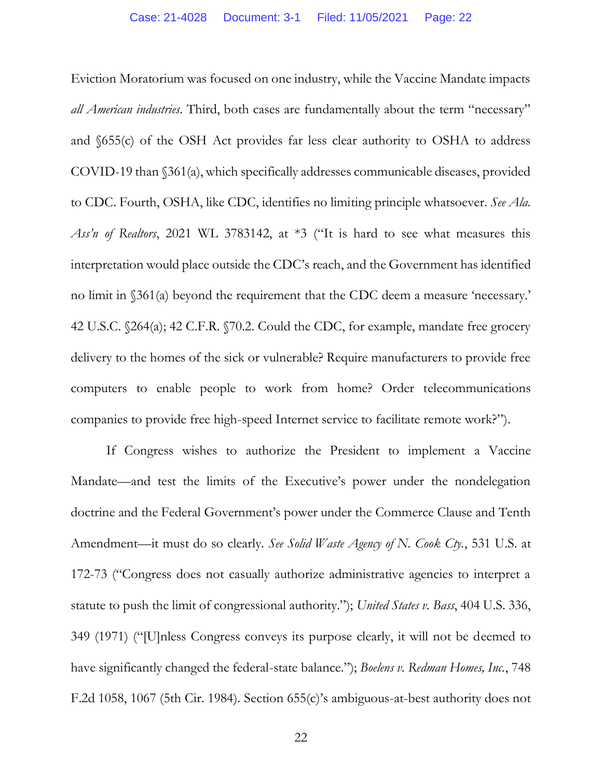Eviction Moratorium was focused on one industry, while the Vaccine Mandate impacts *all American industries*. Third, both cases are fundamentally about the term "necessary" and §655(c) of the OSH Act provides far less clear authority to OSHA to address COVID-19 than §361(a), which specifically addresses communicable diseases, provided to CDC. Fourth, OSHA, like CDC, identifies no limiting principle whatsoever. *See Ala. Ass'n of Realtors*, 2021 WL 3783142, at \*3 ("It is hard to see what measures this interpretation would place outside the CDC's reach, and the Government has identified no limit in §361(a) beyond the requirement that the CDC deem a measure 'necessary.' 42 U.S.C. §264(a); 42 C.F.R. §70.2. Could the CDC, for example, mandate free grocery delivery to the homes of the sick or vulnerable? Require manufacturers to provide free computers to enable people to work from home? Order telecommunications companies to provide free high-speed Internet service to facilitate remote work?").

If Congress wishes to authorize the President to implement a Vaccine Mandate—and test the limits of the Executive's power under the nondelegation doctrine and the Federal Government's power under the Commerce Clause and Tenth Amendment—it must do so clearly. *See Solid Waste Agency of N. Cook Cty.*, 531 U.S. at 172-73 ("Congress does not casually authorize administrative agencies to interpret a statute to push the limit of congressional authority."); *United States v. Bass*, 404 U.S. 336, 349 (1971) ("[U]nless Congress conveys its purpose clearly, it will not be deemed to have significantly changed the federal-state balance."); *Boelens v. Redman Homes, Inc.*, 748 F.2d 1058, 1067 (5th Cir. 1984). Section 655(c)'s ambiguous-at-best authority does not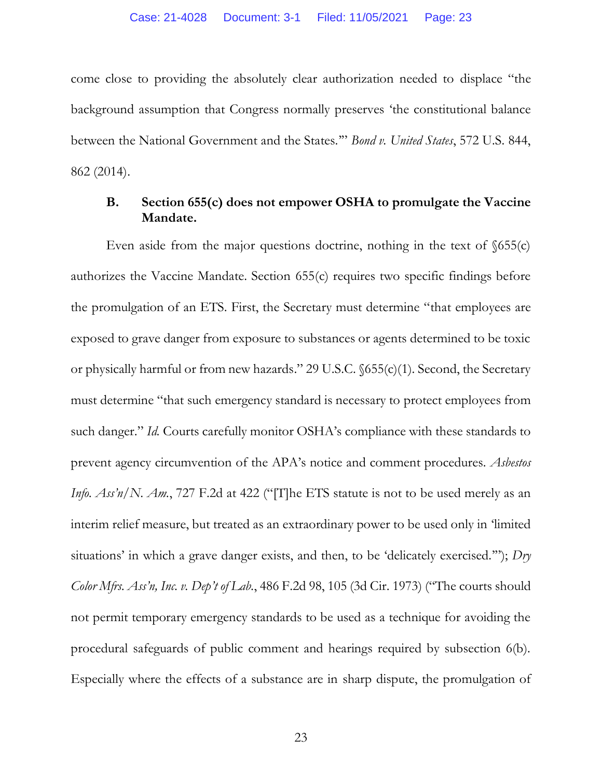come close to providing the absolutely clear authorization needed to displace "the background assumption that Congress normally preserves 'the constitutional balance between the National Government and the States.'" *Bond v. United States*, 572 U.S. 844, 862 (2014).

# **B. Section 655(c) does not empower OSHA to promulgate the Vaccine Mandate.**

Even aside from the major questions doctrine, nothing in the text of  $\delta$ 655(c) authorizes the Vaccine Mandate. Section 655(c) requires two specific findings before the promulgation of an ETS. First, the Secretary must determine "that employees are exposed to grave danger from exposure to substances or agents determined to be toxic or physically harmful or from new hazards." 29 U.S.C. §655(c)(1). Second, the Secretary must determine "that such emergency standard is necessary to protect employees from such danger." *Id.* Courts carefully monitor OSHA's compliance with these standards to prevent agency circumvention of the APA's notice and comment procedures. *Asbestos Info. Ass'n/N. Am.*, 727 F.2d at 422 ("The ETS statute is not to be used merely as an interim relief measure, but treated as an extraordinary power to be used only in 'limited situations' in which a grave danger exists, and then, to be 'delicately exercised.'"); *Dry Color Mfrs. Ass'n, Inc. v. Dep't of Lab.*, 486 F.2d 98, 105 (3d Cir. 1973) ("The courts should not permit temporary emergency standards to be used as a technique for avoiding the procedural safeguards of public comment and hearings required by subsection 6(b). Especially where the effects of a substance are in sharp dispute, the promulgation of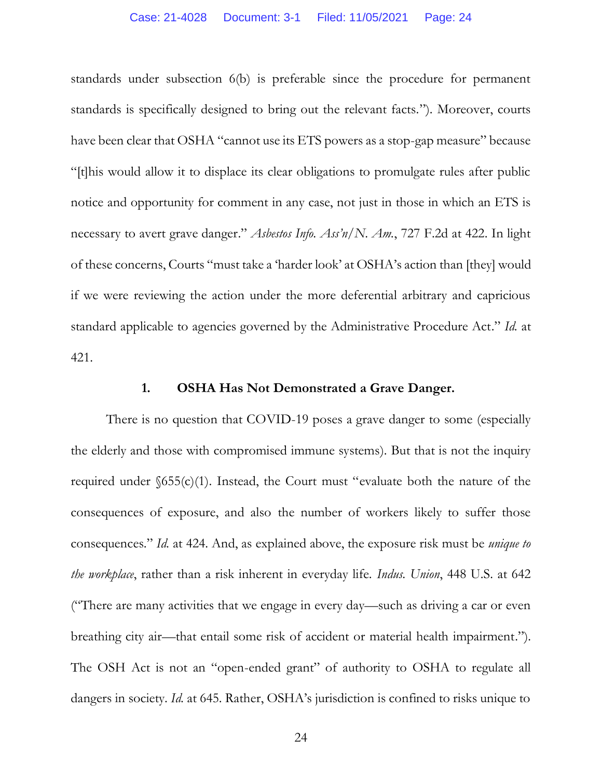standards under subsection 6(b) is preferable since the procedure for permanent standards is specifically designed to bring out the relevant facts."). Moreover, courts have been clear that OSHA "cannot use its ETS powers as a stop-gap measure" because "[t]his would allow it to displace its clear obligations to promulgate rules after public notice and opportunity for comment in any case, not just in those in which an ETS is necessary to avert grave danger." *Asbestos Info. Ass'n/N. Am.*, 727 F.2d at 422. In light of these concerns, Courts "must take a 'harder look' at OSHA's action than [they] would if we were reviewing the action under the more deferential arbitrary and capricious standard applicable to agencies governed by the Administrative Procedure Act." *Id.* at 421.

#### **1. OSHA Has Not Demonstrated a Grave Danger.**

There is no question that COVID-19 poses a grave danger to some (especially the elderly and those with compromised immune systems). But that is not the inquiry required under  $$655(c)(1)$ . Instead, the Court must "evaluate both the nature of the consequences of exposure, and also the number of workers likely to suffer those consequences." *Id.* at 424. And, as explained above, the exposure risk must be *unique to the workplace*, rather than a risk inherent in everyday life. *Indus. Union*, 448 U.S. at 642 ("There are many activities that we engage in every day—such as driving a car or even breathing city air—that entail some risk of accident or material health impairment."). The OSH Act is not an "open-ended grant" of authority to OSHA to regulate all dangers in society. *Id.* at 645. Rather, OSHA's jurisdiction is confined to risks unique to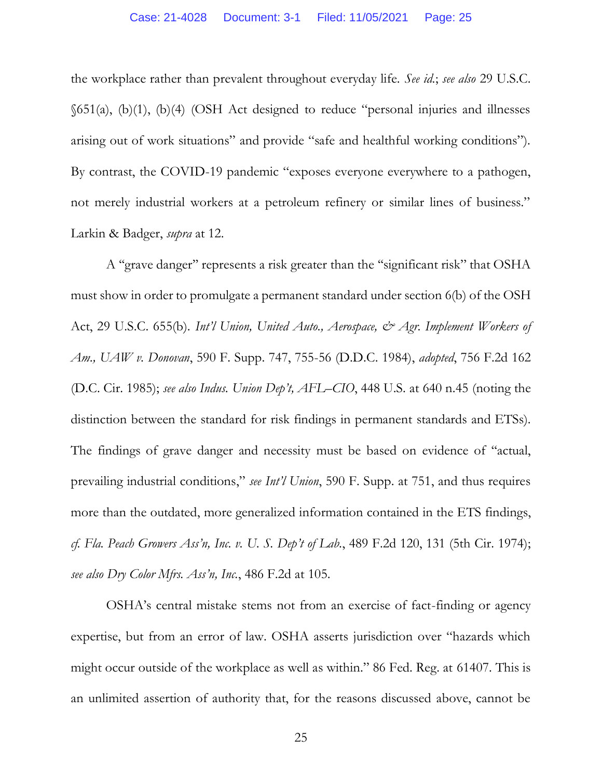the workplace rather than prevalent throughout everyday life. *See id.*; *see also* 29 U.S.C. §651(a), (b)(1), (b)(4) (OSH Act designed to reduce "personal injuries and illnesses arising out of work situations" and provide "safe and healthful working conditions"). By contrast, the COVID-19 pandemic "exposes everyone everywhere to a pathogen, not merely industrial workers at a petroleum refinery or similar lines of business." Larkin & Badger, *supra* at 12.

A ''grave danger'' represents a risk greater than the ''significant risk'' that OSHA must show in order to promulgate a permanent standard under section 6(b) of the OSH Act, 29 U.S.C. 655(b). *Int'l Union, United Auto., Aerospace, & Agr. Implement Workers of Am., UAW v. Donovan*, 590 F. Supp. 747, 755-56 (D.D.C. 1984), *adopted*, 756 F.2d 162 (D.C. Cir. 1985); *see also Indus. Union Dep't, AFL–CIO*, 448 U.S. at 640 n.45 (noting the distinction between the standard for risk findings in permanent standards and ETSs). The findings of grave danger and necessity must be based on evidence of ''actual, prevailing industrial conditions," *see Int'l Union*, 590 F. Supp. at 751, and thus requires more than the outdated, more generalized information contained in the ETS findings, *cf. Fla. Peach Growers Ass'n, Inc. v. U. S. Dep't of Lab.*, 489 F.2d 120, 131 (5th Cir. 1974); *see also Dry Color Mfrs. Ass'n, Inc.*, 486 F.2d at 105.

OSHA's central mistake stems not from an exercise of fact-finding or agency expertise, but from an error of law. OSHA asserts jurisdiction over "hazards which might occur outside of the workplace as well as within." 86 Fed. Reg. at 61407. This is an unlimited assertion of authority that, for the reasons discussed above, cannot be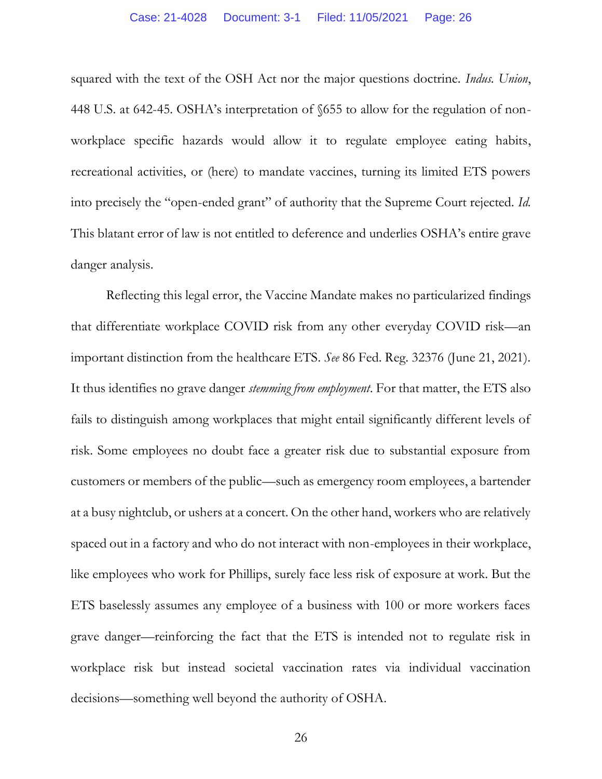squared with the text of the OSH Act nor the major questions doctrine. *Indus. Union*, 448 U.S. at 642-45. OSHA's interpretation of §655 to allow for the regulation of nonworkplace specific hazards would allow it to regulate employee eating habits, recreational activities, or (here) to mandate vaccines, turning its limited ETS powers into precisely the "open-ended grant" of authority that the Supreme Court rejected. *Id.* This blatant error of law is not entitled to deference and underlies OSHA's entire grave danger analysis.

Reflecting this legal error, the Vaccine Mandate makes no particularized findings that differentiate workplace COVID risk from any other everyday COVID risk—an important distinction from the healthcare ETS. *See* 86 Fed. Reg. 32376 (June 21, 2021). It thus identifies no grave danger *stemming from employment*. For that matter, the ETS also fails to distinguish among workplaces that might entail significantly different levels of risk. Some employees no doubt face a greater risk due to substantial exposure from customers or members of the public—such as emergency room employees, a bartender at a busy nightclub, or ushers at a concert. On the other hand, workers who are relatively spaced out in a factory and who do not interact with non-employees in their workplace, like employees who work for Phillips, surely face less risk of exposure at work. But the ETS baselessly assumes any employee of a business with 100 or more workers faces grave danger—reinforcing the fact that the ETS is intended not to regulate risk in workplace risk but instead societal vaccination rates via individual vaccination decisions—something well beyond the authority of OSHA.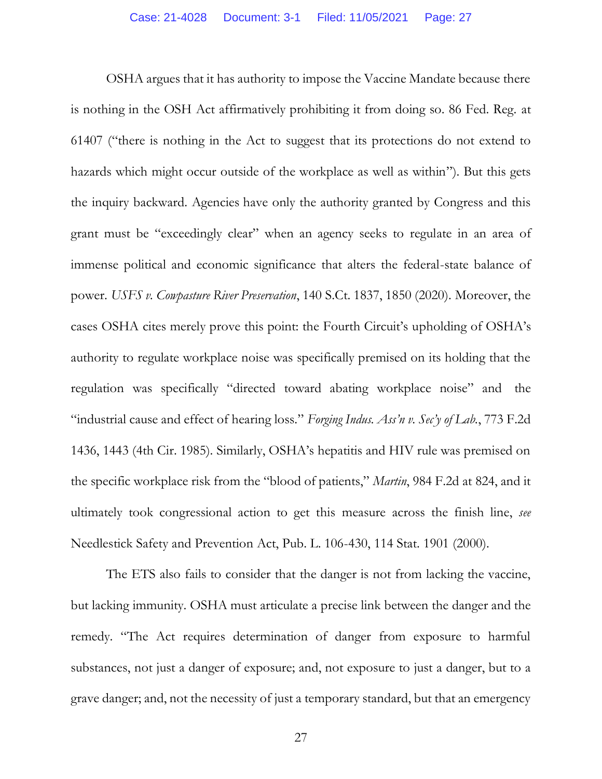OSHA argues that it has authority to impose the Vaccine Mandate because there is nothing in the OSH Act affirmatively prohibiting it from doing so. 86 Fed. Reg. at 61407 ("there is nothing in the Act to suggest that its protections do not extend to hazards which might occur outside of the workplace as well as within"). But this gets the inquiry backward. Agencies have only the authority granted by Congress and this grant must be "exceedingly clear" when an agency seeks to regulate in an area of immense political and economic significance that alters the federal-state balance of power. *USFS v. Cowpasture River Preservation*, 140 S.Ct. 1837, 1850 (2020). Moreover, the cases OSHA cites merely prove this point: the Fourth Circuit's upholding of OSHA's authority to regulate workplace noise was specifically premised on its holding that the regulation was specifically "directed toward abating workplace noise" and the "industrial cause and effect of hearing loss." *Forging Indus. Ass'n v. Sec'y of Lab.*, 773 F.2d 1436, 1443 (4th Cir. 1985). Similarly, OSHA's hepatitis and HIV rule was premised on the specific workplace risk from the "blood of patients," *Martin*, 984 F.2d at 824, and it ultimately took congressional action to get this measure across the finish line, *see*  Needlestick Safety and Prevention Act, Pub. L. 106-430, 114 Stat. 1901 (2000).

The ETS also fails to consider that the danger is not from lacking the vaccine, but lacking immunity. OSHA must articulate a precise link between the danger and the remedy. "The Act requires determination of danger from exposure to harmful substances, not just a danger of exposure; and, not exposure to just a danger, but to a grave danger; and, not the necessity of just a temporary standard, but that an emergency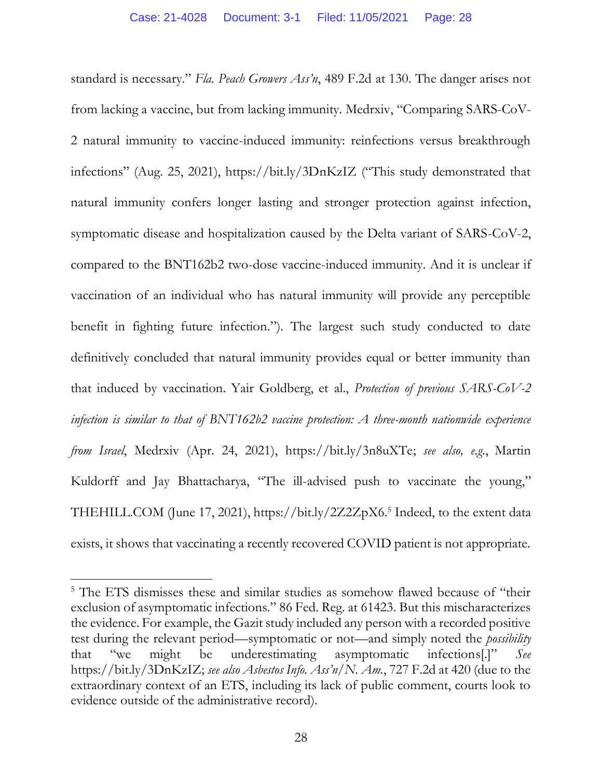standard is necessary." *Fla. Peach Growers Ass'n*, 489 F.2d at 130. The danger arises not from lacking a vaccine, but from lacking immunity. Medrxiv, "Comparing SARS-CoV-2 natural immunity to vaccine-induced immunity: reinfections versus breakthrough infections" (Aug. 25, 2021), https://bit.ly/3DnKzIZ ("This study demonstrated that natural immunity confers longer lasting and stronger protection against infection, symptomatic disease and hospitalization caused by the Delta variant of SARS-CoV-2, compared to the BNT162b2 two-dose vaccine-induced immunity. And it is unclear if vaccination of an individual who has natural immunity will provide any perceptible benefit in fighting future infection."). The largest such study conducted to date definitively concluded that natural immunity provides equal or better immunity than that induced by vaccination. Yair Goldberg, et al., *Protection of previous SARS-CoV-2 infection is similar to that of BNT162b2 vaccine protection: A three-month nationwide experience from Israel*, Medrxiv (Apr. 24, 2021), https://bit.ly/3n8uXTe; *see also, e.g.*, Martin Kuldorff and Jay Bhattacharya, "The ill-advised push to vaccinate the young," THEHILL.COM (June 17, 2021), https://bit.ly/2Z2ZpX6. 5 Indeed, to the extent data exists, it shows that vaccinating a recently recovered COVID patient is not appropriate.

<sup>&</sup>lt;sup>5</sup> The ETS dismisses these and similar studies as somehow flawed because of "their exclusion of asymptomatic infections." 86 Fed. Reg. at 61423. But this mischaracterizes the evidence. For example, the Gazit study included any person with a recorded positive test during the relevant period—symptomatic or not—and simply noted the *possibility* that "we might be underestimating asymptomatic infections[.]" *See* https://bit.ly/3DnKzIZ; *see also Asbestos Info. Ass'n/N. Am.*, 727 F.2d at 420 (due to the extraordinary context of an ETS, including its lack of public comment, courts look to evidence outside of the administrative record).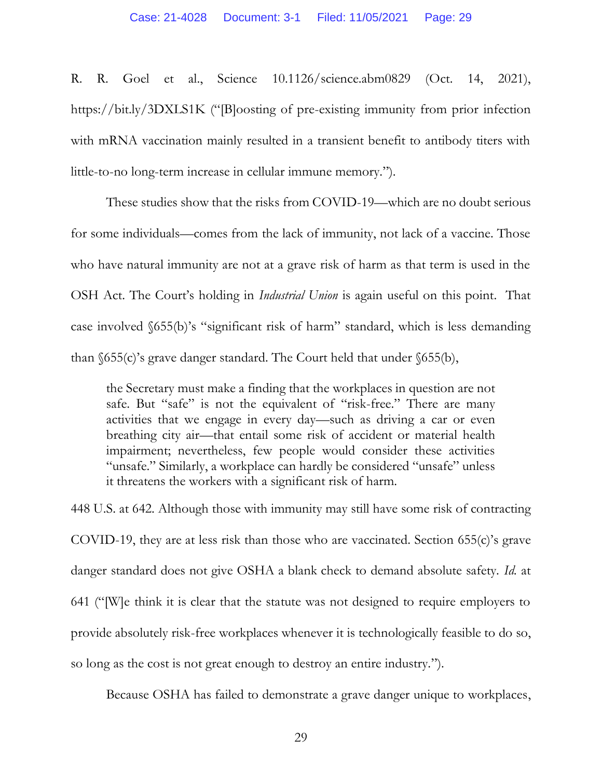R. R. Goel et al., Science 10.1126/science.abm0829 (Oct. 14, 2021), https://bit.ly/3DXLS1K ("[B]oosting of pre-existing immunity from prior infection with mRNA vaccination mainly resulted in a transient benefit to antibody titers with little-to-no long-term increase in cellular immune memory.").

These studies show that the risks from COVID-19—which are no doubt serious for some individuals—comes from the lack of immunity, not lack of a vaccine. Those who have natural immunity are not at a grave risk of harm as that term is used in the OSH Act. The Court's holding in *Industrial Union* is again useful on this point. That case involved §655(b)'s "significant risk of harm" standard, which is less demanding than  $655(c)$ 's grave danger standard. The Court held that under  $655(b)$ ,

the Secretary must make a finding that the workplaces in question are not safe. But "safe" is not the equivalent of "risk-free." There are many activities that we engage in every day—such as driving a car or even breathing city air—that entail some risk of accident or material health impairment; nevertheless, few people would consider these activities "unsafe." Similarly, a workplace can hardly be considered "unsafe" unless it threatens the workers with a significant risk of harm.

448 U.S. at 642. Although those with immunity may still have some risk of contracting COVID-19, they are at less risk than those who are vaccinated. Section 655(c)'s grave danger standard does not give OSHA a blank check to demand absolute safety. *Id.* at 641 ("[W]e think it is clear that the statute was not designed to require employers to provide absolutely risk-free workplaces whenever it is technologically feasible to do so, so long as the cost is not great enough to destroy an entire industry.").

Because OSHA has failed to demonstrate a grave danger unique to workplaces,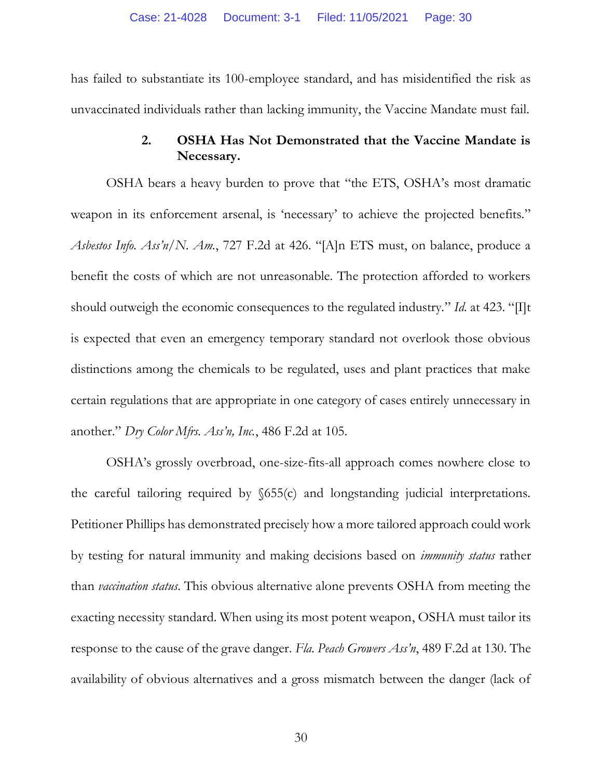has failed to substantiate its 100-employee standard, and has misidentified the risk as unvaccinated individuals rather than lacking immunity, the Vaccine Mandate must fail.

# **2. OSHA Has Not Demonstrated that the Vaccine Mandate is Necessary.**

OSHA bears a heavy burden to prove that "the ETS, OSHA's most dramatic weapon in its enforcement arsenal, is 'necessary' to achieve the projected benefits." *Asbestos Info. Ass'n/N. Am.*, 727 F.2d at 426. "[A]n ETS must, on balance, produce a benefit the costs of which are not unreasonable. The protection afforded to workers should outweigh the economic consequences to the regulated industry." *Id.* at 423. "[I]t is expected that even an emergency temporary standard not overlook those obvious distinctions among the chemicals to be regulated, uses and plant practices that make certain regulations that are appropriate in one category of cases entirely unnecessary in another." *Dry Color Mfrs. Ass'n, Inc.*, 486 F.2d at 105.

OSHA's grossly overbroad, one-size-fits-all approach comes nowhere close to the careful tailoring required by  $\delta$ 55(c) and longstanding judicial interpretations. Petitioner Phillips has demonstrated precisely how a more tailored approach could work by testing for natural immunity and making decisions based on *immunity status* rather than *vaccination status*. This obvious alternative alone prevents OSHA from meeting the exacting necessity standard. When using its most potent weapon, OSHA must tailor its response to the cause of the grave danger. *Fla. Peach Growers Ass'n*, 489 F.2d at 130. The availability of obvious alternatives and a gross mismatch between the danger (lack of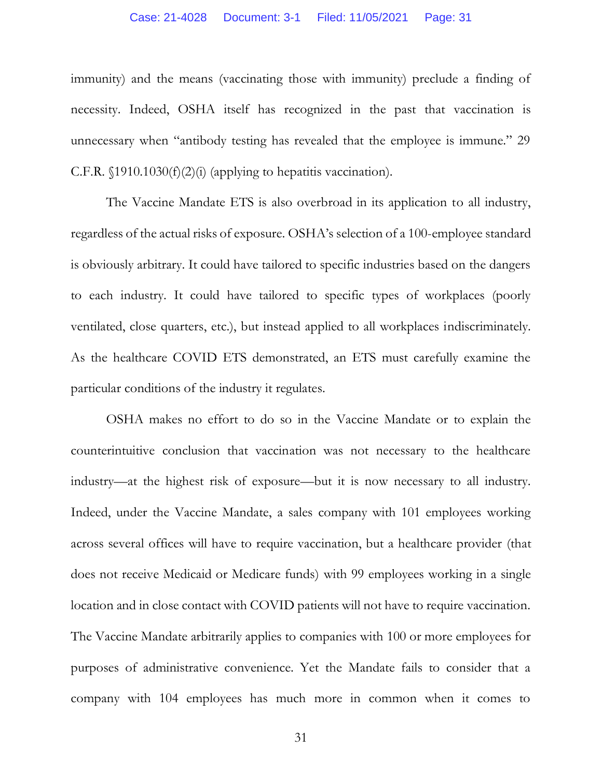#### Case: 21-4028 Document: 3-1 Filed: 11/05/2021 Page: 31

immunity) and the means (vaccinating those with immunity) preclude a finding of necessity. Indeed, OSHA itself has recognized in the past that vaccination is unnecessary when "antibody testing has revealed that the employee is immune." 29 C.F.R.  $\{1910.1030(f)(2)(i)$  (applying to hepatitis vaccination).

The Vaccine Mandate ETS is also overbroad in its application to all industry, regardless of the actual risks of exposure. OSHA's selection of a 100-employee standard is obviously arbitrary. It could have tailored to specific industries based on the dangers to each industry. It could have tailored to specific types of workplaces (poorly ventilated, close quarters, etc.), but instead applied to all workplaces indiscriminately. As the healthcare COVID ETS demonstrated, an ETS must carefully examine the particular conditions of the industry it regulates.

OSHA makes no effort to do so in the Vaccine Mandate or to explain the counterintuitive conclusion that vaccination was not necessary to the healthcare industry—at the highest risk of exposure—but it is now necessary to all industry. Indeed, under the Vaccine Mandate, a sales company with 101 employees working across several offices will have to require vaccination, but a healthcare provider (that does not receive Medicaid or Medicare funds) with 99 employees working in a single location and in close contact with COVID patients will not have to require vaccination. The Vaccine Mandate arbitrarily applies to companies with 100 or more employees for purposes of administrative convenience. Yet the Mandate fails to consider that a company with 104 employees has much more in common when it comes to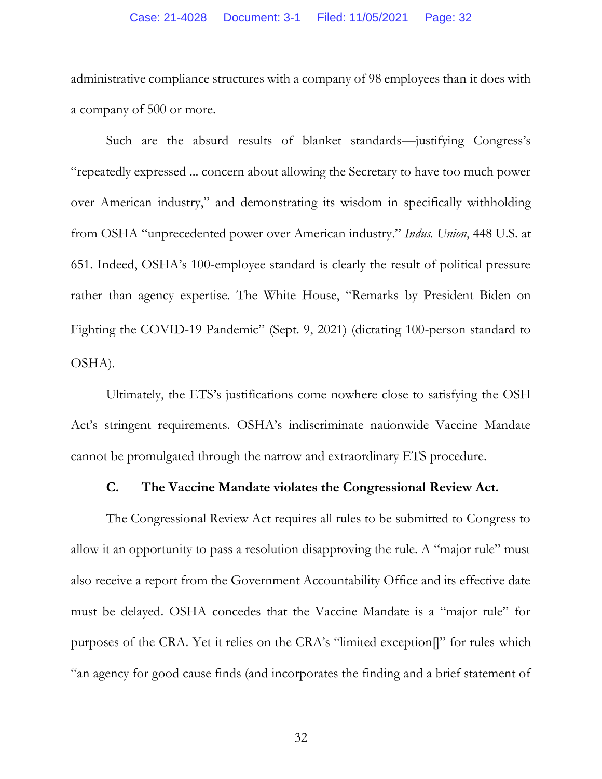#### Case: 21-4028 Document: 3-1 Filed: 11/05/2021 Page: 32

administrative compliance structures with a company of 98 employees than it does with a company of 500 or more.

Such are the absurd results of blanket standards—justifying Congress's "repeatedly expressed ... concern about allowing the Secretary to have too much power over American industry," and demonstrating its wisdom in specifically withholding from OSHA "unprecedented power over American industry." *Indus. Union*, 448 U.S. at 651. Indeed, OSHA's 100-employee standard is clearly the result of political pressure rather than agency expertise. The White House, "Remarks by President Biden on Fighting the COVID-19 Pandemic" (Sept. 9, 2021) (dictating 100-person standard to OSHA).

Ultimately, the ETS's justifications come nowhere close to satisfying the OSH Act's stringent requirements. OSHA's indiscriminate nationwide Vaccine Mandate cannot be promulgated through the narrow and extraordinary ETS procedure.

# **C. The Vaccine Mandate violates the Congressional Review Act.**

The Congressional Review Act requires all rules to be submitted to Congress to allow it an opportunity to pass a resolution disapproving the rule. A "major rule" must also receive a report from the Government Accountability Office and its effective date must be delayed. OSHA concedes that the Vaccine Mandate is a "major rule" for purposes of the CRA. Yet it relies on the CRA's "limited exception[]" for rules which "an agency for good cause finds (and incorporates the finding and a brief statement of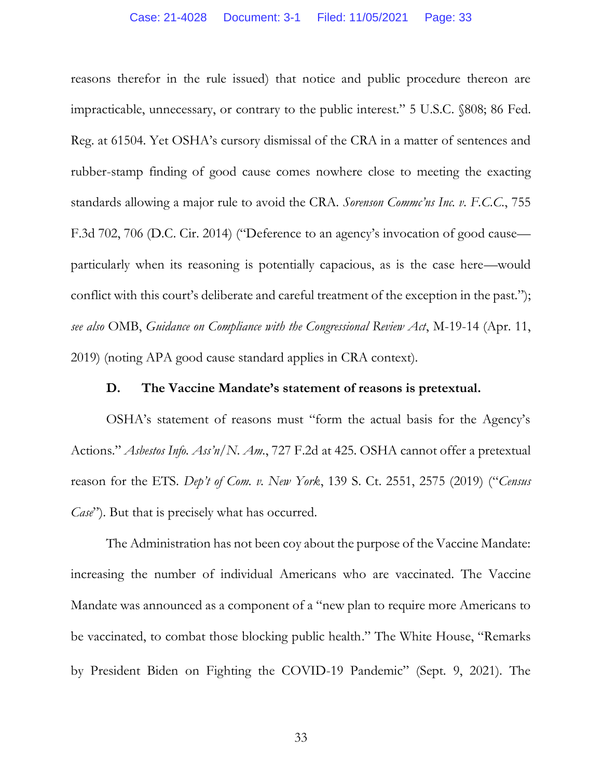reasons therefor in the rule issued) that notice and public procedure thereon are impracticable, unnecessary, or contrary to the public interest." 5 U.S.C. §808; 86 Fed. Reg. at 61504. Yet OSHA's cursory dismissal of the CRA in a matter of sentences and rubber-stamp finding of good cause comes nowhere close to meeting the exacting standards allowing a major rule to avoid the CRA. *Sorenson Commc'ns Inc. v. F.C.C.*, 755 F.3d 702, 706 (D.C. Cir. 2014) ("Deference to an agency's invocation of good cause particularly when its reasoning is potentially capacious, as is the case here—would conflict with this court's deliberate and careful treatment of the exception in the past."); *see also* OMB, *Guidance on Compliance with the Congressional Review Act*, M-19-14 (Apr. 11, 2019) (noting APA good cause standard applies in CRA context).

### **D. The Vaccine Mandate's statement of reasons is pretextual.**

OSHA's statement of reasons must "form the actual basis for the Agency's Actions." *Asbestos Info. Ass'n/N. Am.*, 727 F.2d at 425. OSHA cannot offer a pretextual reason for the ETS. *Dep't of Com. v. New York*, 139 S. Ct. 2551, 2575 (2019) ("*Census Case*"). But that is precisely what has occurred.

The Administration has not been coy about the purpose of the Vaccine Mandate: increasing the number of individual Americans who are vaccinated. The Vaccine Mandate was announced as a component of a "new plan to require more Americans to be vaccinated, to combat those blocking public health." The White House, "Remarks by President Biden on Fighting the COVID-19 Pandemic" (Sept. 9, 2021). The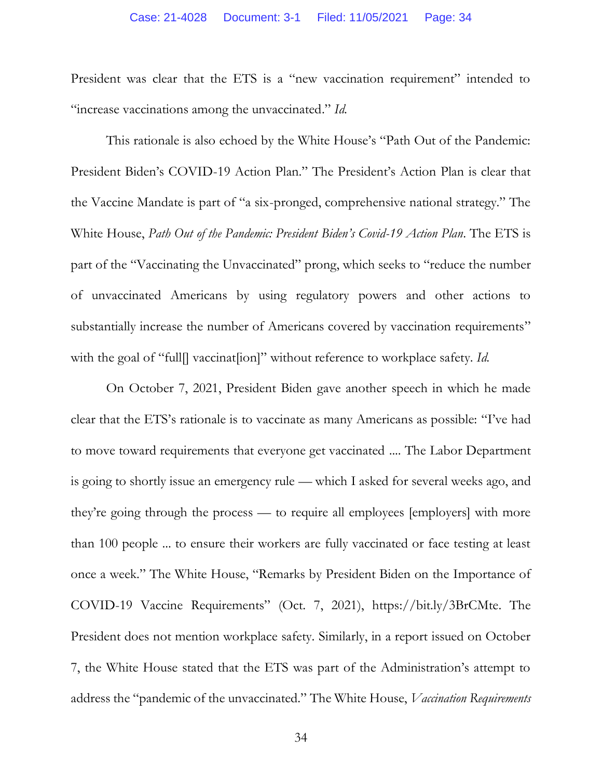President was clear that the ETS is a "new vaccination requirement" intended to "increase vaccinations among the unvaccinated." *Id.*

This rationale is also echoed by the White House's "Path Out of the Pandemic: President Biden's COVID-19 Action Plan." The President's Action Plan is clear that the Vaccine Mandate is part of "a six-pronged, comprehensive national strategy." The White House, *Path Out of the Pandemic: President Biden's Covid-19 Action Plan*. The ETS is part of the "Vaccinating the Unvaccinated" prong, which seeks to "reduce the number of unvaccinated Americans by using regulatory powers and other actions to substantially increase the number of Americans covered by vaccination requirements" with the goal of "full<sup>[]</sup> vaccinat<sup>[[1]</sup> without reference to workplace safety. *Id.* 

On October 7, 2021, President Biden gave another speech in which he made clear that the ETS's rationale is to vaccinate as many Americans as possible: "I've had to move toward requirements that everyone get vaccinated .... The Labor Department is going to shortly issue an emergency rule — which I asked for several weeks ago, and they're going through the process — to require all employees [employers] with more than 100 people ... to ensure their workers are fully vaccinated or face testing at least once a week." The White House, "Remarks by President Biden on the Importance of COVID-19 Vaccine Requirements" (Oct. 7, 2021), https://bit.ly/3BrCMte. The President does not mention workplace safety. Similarly, in a report issued on October 7, the White House stated that the ETS was part of the Administration's attempt to address the "pandemic of the unvaccinated." The White House, *Vaccination Requirements*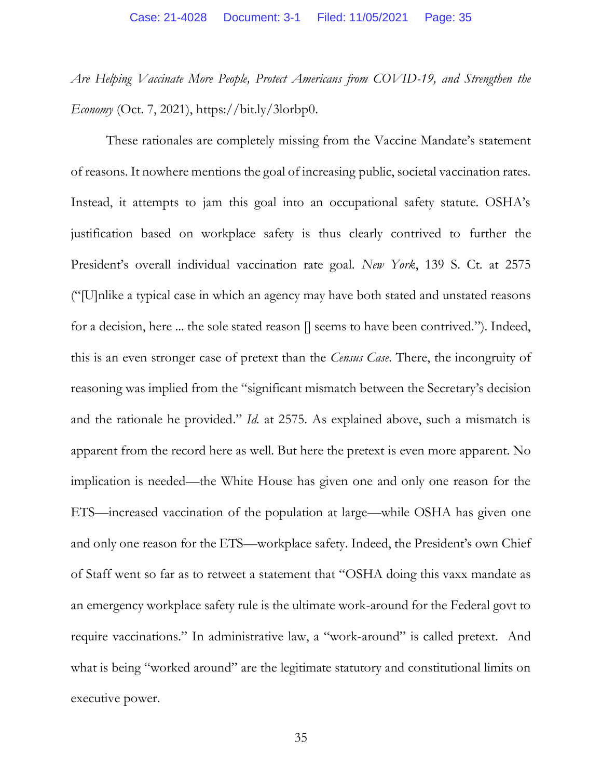*Are Helping Vaccinate More People, Protect Americans from COVID-19, and Strengthen the Economy* (Oct. 7, 2021), https://bit.ly/3lorbp0.

These rationales are completely missing from the Vaccine Mandate's statement of reasons. It nowhere mentions the goal of increasing public, societal vaccination rates. Instead, it attempts to jam this goal into an occupational safety statute. OSHA's justification based on workplace safety is thus clearly contrived to further the President's overall individual vaccination rate goal. *New York*, 139 S. Ct. at 2575 ("[U]nlike a typical case in which an agency may have both stated and unstated reasons for a decision, here ... the sole stated reason [] seems to have been contrived."). Indeed, this is an even stronger case of pretext than the *Census Case*. There, the incongruity of reasoning was implied from the "significant mismatch between the Secretary's decision and the rationale he provided." *Id.* at 2575. As explained above, such a mismatch is apparent from the record here as well. But here the pretext is even more apparent. No implication is needed—the White House has given one and only one reason for the ETS—increased vaccination of the population at large—while OSHA has given one and only one reason for the ETS—workplace safety. Indeed, the President's own Chief of Staff went so far as to retweet a statement that "OSHA doing this vaxx mandate as an emergency workplace safety rule is the ultimate work-around for the Federal govt to require vaccinations." In administrative law, a "work-around" is called pretext. And what is being "worked around" are the legitimate statutory and constitutional limits on executive power.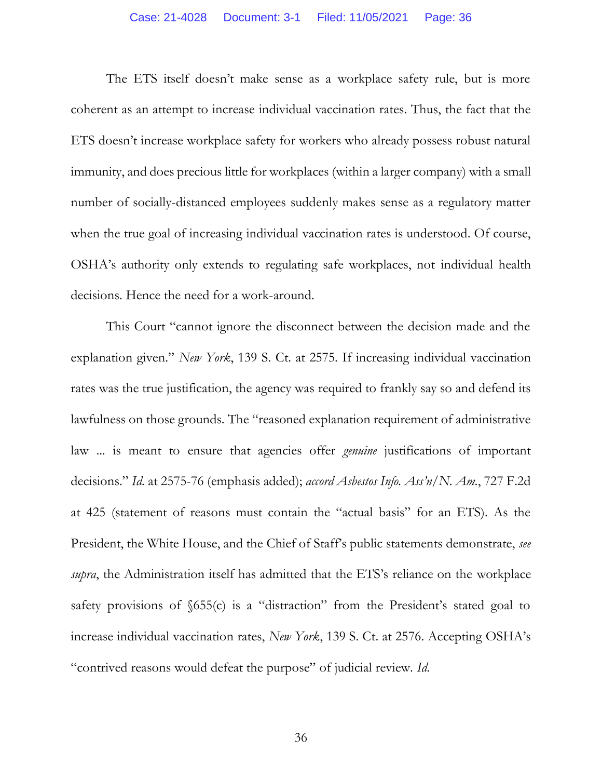The ETS itself doesn't make sense as a workplace safety rule, but is more coherent as an attempt to increase individual vaccination rates. Thus, the fact that the ETS doesn't increase workplace safety for workers who already possess robust natural immunity, and does precious little for workplaces (within a larger company) with a small number of socially-distanced employees suddenly makes sense as a regulatory matter when the true goal of increasing individual vaccination rates is understood. Of course, OSHA's authority only extends to regulating safe workplaces, not individual health decisions. Hence the need for a work-around.

This Court "cannot ignore the disconnect between the decision made and the explanation given." *New York*, 139 S. Ct. at 2575. If increasing individual vaccination rates was the true justification, the agency was required to frankly say so and defend its lawfulness on those grounds. The "reasoned explanation requirement of administrative law ... is meant to ensure that agencies offer *genuine* justifications of important decisions." *Id.* at 2575-76 (emphasis added); *accord Asbestos Info. Ass'n/N. Am.*, 727 F.2d at 425 (statement of reasons must contain the "actual basis" for an ETS). As the President, the White House, and the Chief of Staff's public statements demonstrate, *see supra*, the Administration itself has admitted that the ETS's reliance on the workplace safety provisions of §655(c) is a "distraction" from the President's stated goal to increase individual vaccination rates, *New York*, 139 S. Ct. at 2576. Accepting OSHA's "contrived reasons would defeat the purpose" of judicial review. *Id.*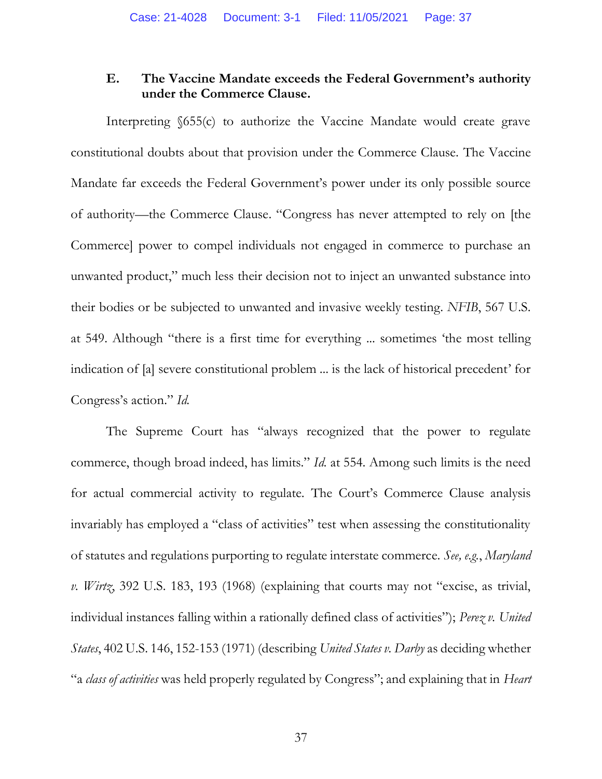# **E. The Vaccine Mandate exceeds the Federal Government's authority under the Commerce Clause.**

Interpreting §655(c) to authorize the Vaccine Mandate would create grave constitutional doubts about that provision under the Commerce Clause. The Vaccine Mandate far exceeds the Federal Government's power under its only possible source of authority—the Commerce Clause. "Congress has never attempted to rely on [the Commerce] power to compel individuals not engaged in commerce to purchase an unwanted product," much less their decision not to inject an unwanted substance into their bodies or be subjected to unwanted and invasive weekly testing. *NFIB*, 567 U.S. at 549. Although "there is a first time for everything ... sometimes 'the most telling indication of [a] severe constitutional problem ... is the lack of historical precedent' for Congress's action." *Id.* 

The Supreme Court has "always recognized that the power to regulate commerce, though broad indeed, has limits." *Id.* at 554. Among such limits is the need for actual commercial activity to regulate. The Court's Commerce Clause analysis invariably has employed a "class of activities" test when assessing the constitutionality of statutes and regulations purporting to regulate interstate commerce. *See, e.g.*, *Maryland v. Wirtz*, 392 U.S. 183, 193 (1968) (explaining that courts may not "excise, as trivial, individual instances falling within a rationally defined class of activities"); *Perez v. United States*, 402 U.S. 146, 152-153 (1971) (describing *United States v. Darby* as deciding whether "a *class of activities* was held properly regulated by Congress"; and explaining that in *Heart*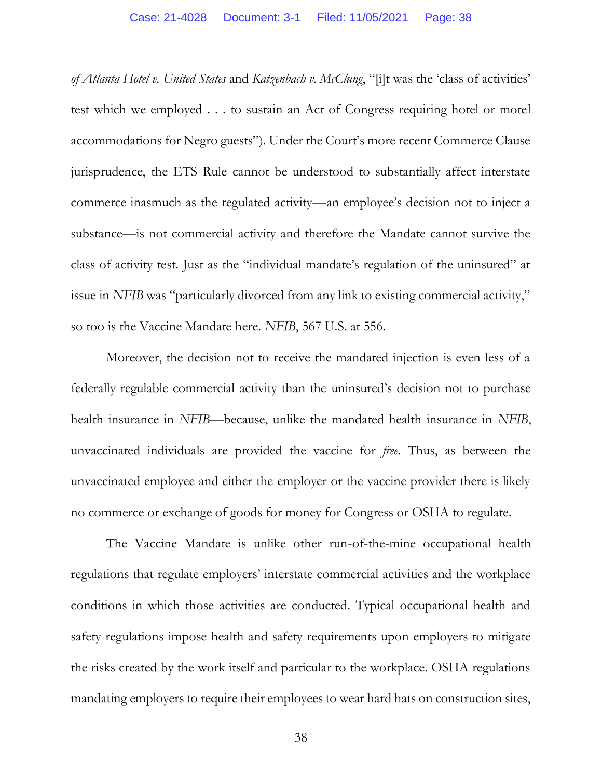*of Atlanta Hotel v. United States* and *Katzenbach v. McClung*, "[i]t was the 'class of activities' test which we employed . . . to sustain an Act of Congress requiring hotel or motel accommodations for Negro guests"). Under the Court's more recent Commerce Clause jurisprudence, the ETS Rule cannot be understood to substantially affect interstate commerce inasmuch as the regulated activity—an employee's decision not to inject a substance—is not commercial activity and therefore the Mandate cannot survive the class of activity test. Just as the "individual mandate's regulation of the uninsured" at issue in *NFIB* was "particularly divorced from any link to existing commercial activity," so too is the Vaccine Mandate here. *NFIB*, 567 U.S. at 556.

Moreover, the decision not to receive the mandated injection is even less of a federally regulable commercial activity than the uninsured's decision not to purchase health insurance in *NFIB*—because, unlike the mandated health insurance in *NFIB*, unvaccinated individuals are provided the vaccine for *free*. Thus, as between the unvaccinated employee and either the employer or the vaccine provider there is likely no commerce or exchange of goods for money for Congress or OSHA to regulate.

The Vaccine Mandate is unlike other run-of-the-mine occupational health regulations that regulate employers' interstate commercial activities and the workplace conditions in which those activities are conducted. Typical occupational health and safety regulations impose health and safety requirements upon employers to mitigate the risks created by the work itself and particular to the workplace. OSHA regulations mandating employers to require their employees to wear hard hats on construction sites,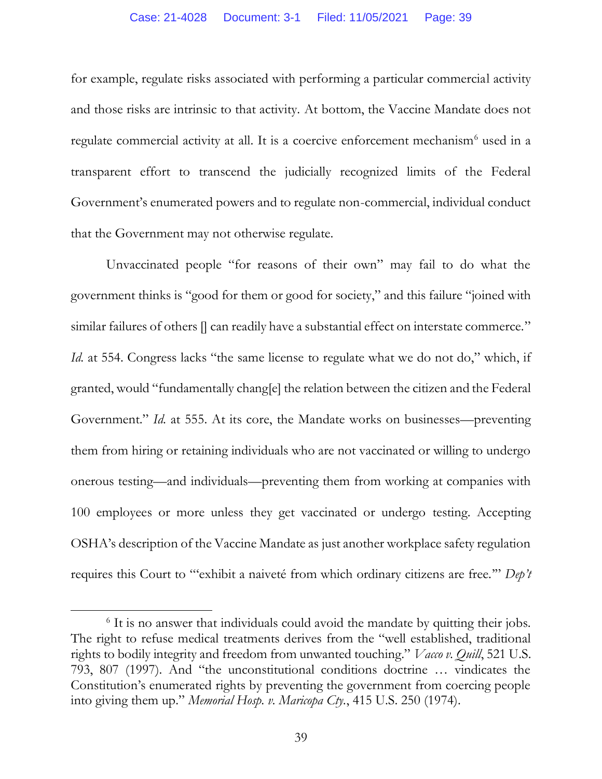for example, regulate risks associated with performing a particular commercial activity and those risks are intrinsic to that activity. At bottom, the Vaccine Mandate does not regulate commercial activity at all. It is a coercive enforcement mechanism<sup>6</sup> used in a transparent effort to transcend the judicially recognized limits of the Federal Government's enumerated powers and to regulate non-commercial, individual conduct that the Government may not otherwise regulate.

Unvaccinated people "for reasons of their own" may fail to do what the government thinks is "good for them or good for society," and this failure "joined with similar failures of others  $\parallel$  can readily have a substantial effect on interstate commerce." *Id.* at 554. Congress lacks "the same license to regulate what we do not do," which, if granted, would "fundamentally chang[e] the relation between the citizen and the Federal Government." *Id.* at 555. At its core, the Mandate works on businesses—preventing them from hiring or retaining individuals who are not vaccinated or willing to undergo onerous testing—and individuals—preventing them from working at companies with 100 employees or more unless they get vaccinated or undergo testing. Accepting OSHA's description of the Vaccine Mandate as just another workplace safety regulation requires this Court to "'exhibit a naiveté from which ordinary citizens are free.'" *Dep't* 

<sup>&</sup>lt;sup>6</sup> It is no answer that individuals could avoid the mandate by quitting their jobs. The right to refuse medical treatments derives from the "well established, traditional rights to bodily integrity and freedom from unwanted touching." *Vacco v. Quill*, 521 U.S. 793, 807 (1997). And "the unconstitutional conditions doctrine … vindicates the Constitution's enumerated rights by preventing the government from coercing people into giving them up." *Memorial Hosp. v. Maricopa Cty.*, 415 U.S. 250 (1974).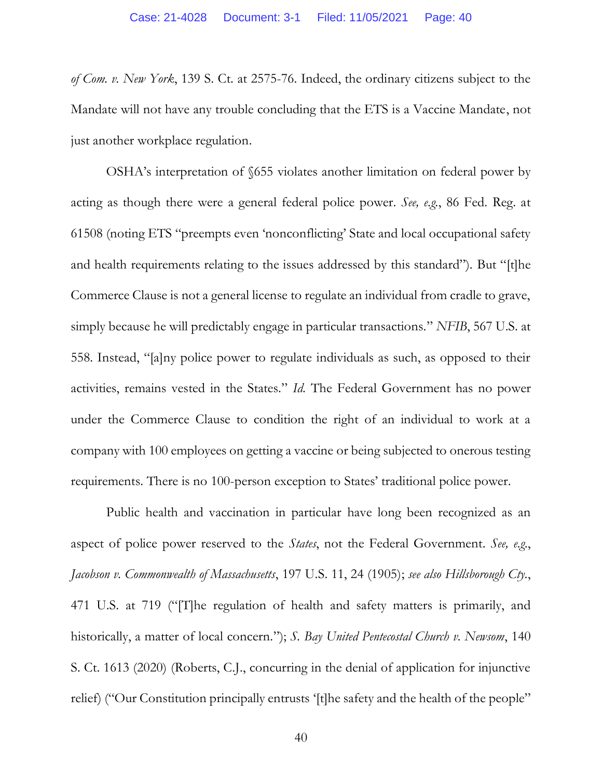*of Com. v. New York*, 139 S. Ct. at 2575-76. Indeed, the ordinary citizens subject to the Mandate will not have any trouble concluding that the ETS is a Vaccine Mandate, not just another workplace regulation.

OSHA's interpretation of §655 violates another limitation on federal power by acting as though there were a general federal police power. *See, e.g.*, 86 Fed. Reg. at 61508 (noting ETS "preempts even 'nonconflicting' State and local occupational safety and health requirements relating to the issues addressed by this standard"). But "[t]he Commerce Clause is not a general license to regulate an individual from cradle to grave, simply because he will predictably engage in particular transactions." *NFIB*, 567 U.S. at 558. Instead, "[a]ny police power to regulate individuals as such, as opposed to their activities, remains vested in the States." *Id.* The Federal Government has no power under the Commerce Clause to condition the right of an individual to work at a company with 100 employees on getting a vaccine or being subjected to onerous testing requirements. There is no 100-person exception to States' traditional police power.

Public health and vaccination in particular have long been recognized as an aspect of police power reserved to the *States*, not the Federal Government. *See, e.g.*, *Jacobson v. Commonwealth of Massachusetts*, 197 U.S. 11, 24 (1905); *see also Hillsborough Cty.*, 471 U.S. at 719 ("[T]he regulation of health and safety matters is primarily, and historically, a matter of local concern."); *S. Bay United Pentecostal Church v. Newsom*, 140 S. Ct. 1613 (2020) (Roberts, C.J., concurring in the denial of application for injunctive relief) ("Our Constitution principally entrusts '[t]he safety and the health of the people"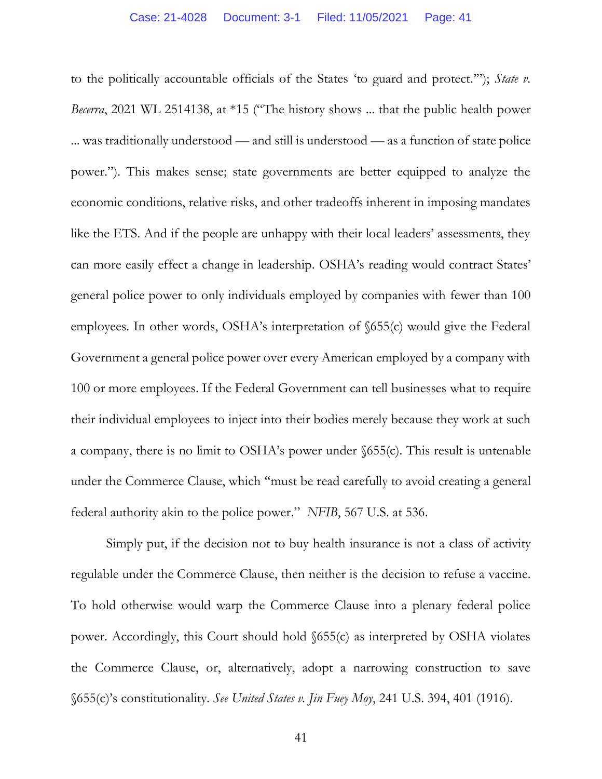to the politically accountable officials of the States 'to guard and protect.'"); *State v. Becerra*, 2021 WL 2514138, at \*15 ("The history shows ... that the public health power ... was traditionally understood — and still is understood — as a function of state police power."). This makes sense; state governments are better equipped to analyze the economic conditions, relative risks, and other tradeoffs inherent in imposing mandates like the ETS. And if the people are unhappy with their local leaders' assessments, they can more easily effect a change in leadership. OSHA's reading would contract States' general police power to only individuals employed by companies with fewer than 100 employees. In other words, OSHA's interpretation of §655(c) would give the Federal Government a general police power over every American employed by a company with 100 or more employees. If the Federal Government can tell businesses what to require their individual employees to inject into their bodies merely because they work at such a company, there is no limit to OSHA's power under §655(c). This result is untenable under the Commerce Clause, which "must be read carefully to avoid creating a general federal authority akin to the police power." *NFIB*, 567 U.S. at 536.

Simply put, if the decision not to buy health insurance is not a class of activity regulable under the Commerce Clause, then neither is the decision to refuse a vaccine. To hold otherwise would warp the Commerce Clause into a plenary federal police power. Accordingly, this Court should hold §655(c) as interpreted by OSHA violates the Commerce Clause, or, alternatively, adopt a narrowing construction to save §655(c)'s constitutionality. *See United States v. Jin Fuey Moy*, 241 U.S. 394, 401 (1916).

41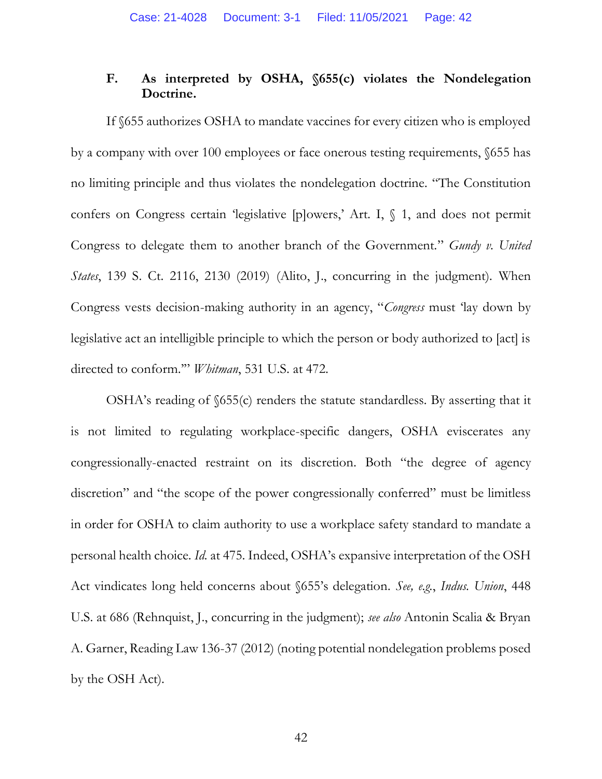# **F. As interpreted by OSHA, §655(c) violates the Nondelegation Doctrine.**

If §655 authorizes OSHA to mandate vaccines for every citizen who is employed by a company with over 100 employees or face onerous testing requirements, §655 has no limiting principle and thus violates the nondelegation doctrine. "The Constitution confers on Congress certain 'legislative [p]owers,' Art. I, § 1, and does not permit Congress to delegate them to another branch of the Government." *Gundy v. United States*, 139 S. Ct. 2116, 2130 (2019) (Alito, J., concurring in the judgment). When Congress vests decision-making authority in an agency, "*Congress* must 'lay down by legislative act an intelligible principle to which the person or body authorized to [act] is directed to conform.'" *Whitman*, 531 U.S. at 472.

OSHA's reading of §655(c) renders the statute standardless. By asserting that it is not limited to regulating workplace-specific dangers, OSHA eviscerates any congressionally-enacted restraint on its discretion. Both "the degree of agency discretion" and "the scope of the power congressionally conferred" must be limitless in order for OSHA to claim authority to use a workplace safety standard to mandate a personal health choice. *Id.* at 475. Indeed, OSHA's expansive interpretation of the OSH Act vindicates long held concerns about §655's delegation. *See, e.g.*, *Indus. Union*, 448 U.S. at 686 (Rehnquist, J., concurring in the judgment); *see also* Antonin Scalia & Bryan A. Garner, Reading Law 136-37 (2012) (noting potential nondelegation problems posed by the OSH Act).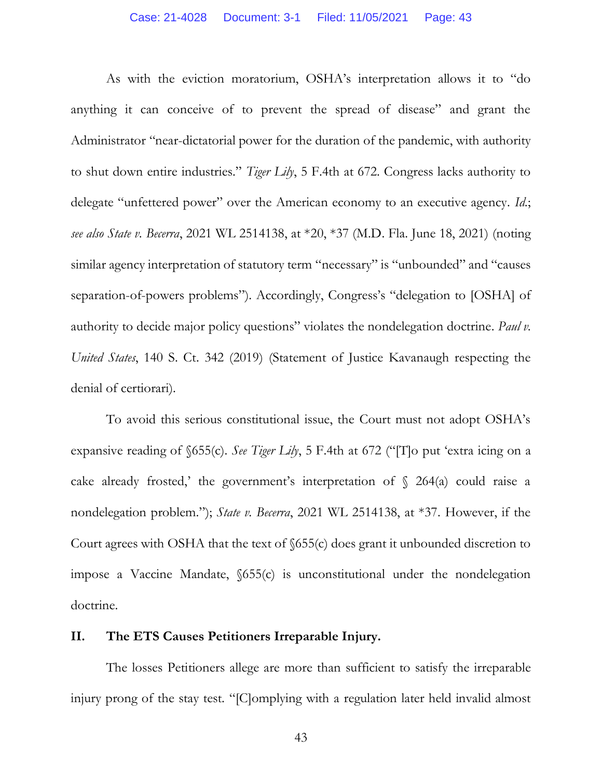As with the eviction moratorium, OSHA's interpretation allows it to "do anything it can conceive of to prevent the spread of disease" and grant the Administrator "near-dictatorial power for the duration of the pandemic, with authority to shut down entire industries." *Tiger Lily*, 5 F.4th at 672. Congress lacks authority to delegate "unfettered power" over the American economy to an executive agency. *Id.*; *see also State v. Becerra*, 2021 WL 2514138, at \*20, \*37 (M.D. Fla. June 18, 2021) (noting similar agency interpretation of statutory term "necessary" is "unbounded" and "causes separation-of-powers problems"). Accordingly, Congress's "delegation to [OSHA] of authority to decide major policy questions" violates the nondelegation doctrine*. Paul v. United States*, 140 S. Ct. 342 (2019) (Statement of Justice Kavanaugh respecting the denial of certiorari).

To avoid this serious constitutional issue, the Court must not adopt OSHA's expansive reading of §655(c). *See Tiger Lily*, 5 F.4th at 672 ("[T]o put 'extra icing on a cake already frosted,' the government's interpretation of  $\S$  264(a) could raise a nondelegation problem."); *State v. Becerra*, 2021 WL 2514138, at \*37. However, if the Court agrees with OSHA that the text of §655(c) does grant it unbounded discretion to impose a Vaccine Mandate, §655(c) is unconstitutional under the nondelegation doctrine.

# **II. The ETS Causes Petitioners Irreparable Injury.**

The losses Petitioners allege are more than sufficient to satisfy the irreparable injury prong of the stay test. "[C]omplying with a regulation later held invalid almost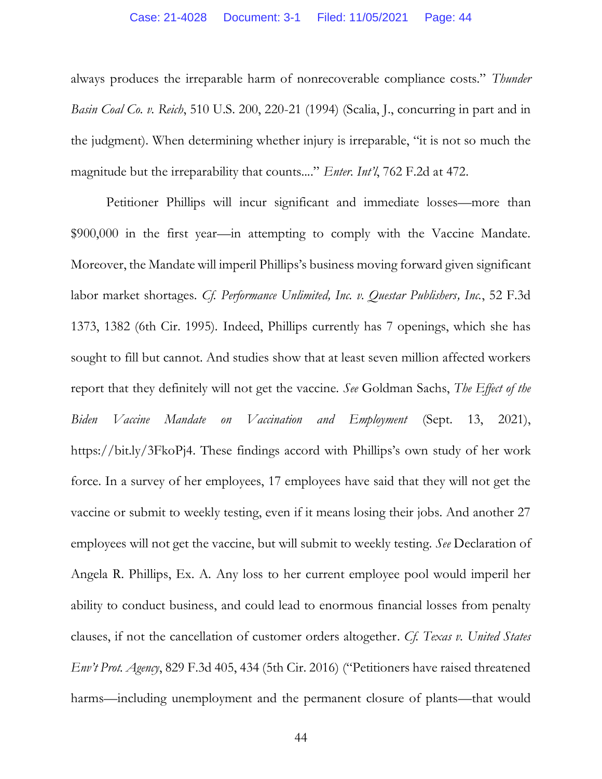always produces the irreparable harm of nonrecoverable compliance costs." *Thunder Basin Coal Co. v. Reich*, 510 U.S. 200, 220-21 (1994) (Scalia, J., concurring in part and in the judgment). When determining whether injury is irreparable, "it is not so much the magnitude but the irreparability that counts...." *Enter. Int'l*, 762 F.2d at 472.

Petitioner Phillips will incur significant and immediate losses—more than \$900,000 in the first year—in attempting to comply with the Vaccine Mandate. Moreover, the Mandate will imperil Phillips's business moving forward given significant labor market shortages. *Cf. Performance Unlimited, Inc. v. Questar Publishers, Inc.*, 52 F.3d 1373, 1382 (6th Cir. 1995). Indeed, Phillips currently has 7 openings, which she has sought to fill but cannot. And studies show that at least seven million affected workers report that they definitely will not get the vaccine. *See* Goldman Sachs, *The Effect of the Biden Vaccine Mandate on Vaccination and Employment* (Sept. 13, 2021), https://bit.ly/3FkoPj4. These findings accord with Phillips's own study of her work force. In a survey of her employees, 17 employees have said that they will not get the vaccine or submit to weekly testing, even if it means losing their jobs. And another 27 employees will not get the vaccine, but will submit to weekly testing. *See* Declaration of Angela R. Phillips, Ex. A*.* Any loss to her current employee pool would imperil her ability to conduct business, and could lead to enormous financial losses from penalty clauses, if not the cancellation of customer orders altogether. *Cf. Texas v. United States Env't Prot. Agency*, 829 F.3d 405, 434 (5th Cir. 2016) ("Petitioners have raised threatened harms—including unemployment and the permanent closure of plants—that would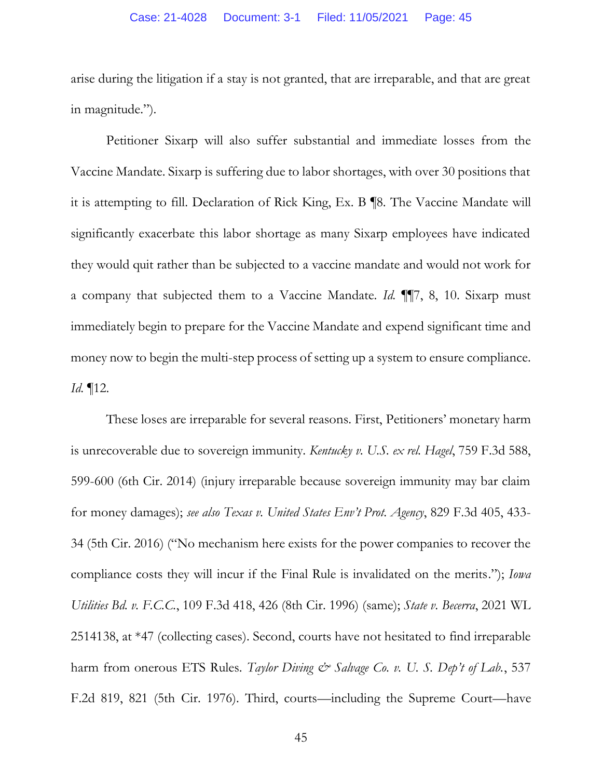arise during the litigation if a stay is not granted, that are irreparable, and that are great in magnitude.").

Petitioner Sixarp will also suffer substantial and immediate losses from the Vaccine Mandate. Sixarp is suffering due to labor shortages, with over 30 positions that it is attempting to fill. Declaration of Rick King, Ex. B ¶8. The Vaccine Mandate will significantly exacerbate this labor shortage as many Sixarp employees have indicated they would quit rather than be subjected to a vaccine mandate and would not work for a company that subjected them to a Vaccine Mandate. *Id.* ¶¶7, 8, 10. Sixarp must immediately begin to prepare for the Vaccine Mandate and expend significant time and money now to begin the multi-step process of setting up a system to ensure compliance. *Id.* ¶12.

These loses are irreparable for several reasons. First, Petitioners' monetary harm is unrecoverable due to sovereign immunity. *Kentucky v. U.S. ex rel. Hagel*, 759 F.3d 588, 599-600 (6th Cir. 2014) (injury irreparable because sovereign immunity may bar claim for money damages); *see also Texas v. United States Env't Prot. Agency*, 829 F.3d 405, 433- 34 (5th Cir. 2016) ("No mechanism here exists for the power companies to recover the compliance costs they will incur if the Final Rule is invalidated on the merits."); *Iowa Utilities Bd. v. F.C.C.*, 109 F.3d 418, 426 (8th Cir. 1996) (same); *State v. Becerra*, 2021 WL 2514138, at \*47 (collecting cases). Second, courts have not hesitated to find irreparable harm from onerous ETS Rules. *Taylor Diving & Salvage Co. v. U. S. Dep't of Lab.*, 537 F.2d 819, 821 (5th Cir. 1976). Third, courts—including the Supreme Court—have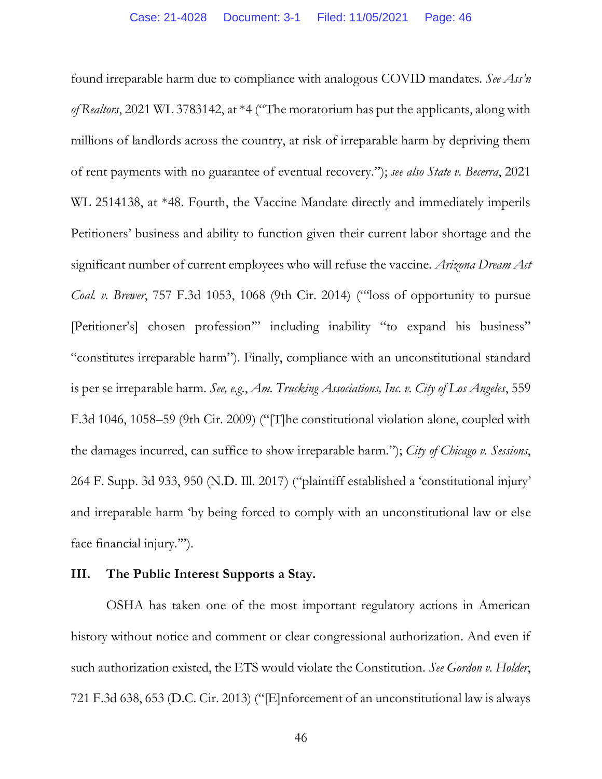found irreparable harm due to compliance with analogous COVID mandates. *See Ass'n of Realtors*, 2021 WL 3783142, at \*4 ("The moratorium has put the applicants, along with millions of landlords across the country, at risk of irreparable harm by depriving them of rent payments with no guarantee of eventual recovery."); *see also State v. Becerra*, 2021 WL 2514138, at \*48. Fourth, the Vaccine Mandate directly and immediately imperils Petitioners' business and ability to function given their current labor shortage and the significant number of current employees who will refuse the vaccine. *Arizona Dream Act Coal. v. Brewer*, 757 F.3d 1053, 1068 (9th Cir. 2014) ("'loss of opportunity to pursue [Petitioner's] chosen profession'" including inability "to expand his business" "constitutes irreparable harm"). Finally, compliance with an unconstitutional standard is per se irreparable harm. *See, e.g.*, *Am. Trucking Associations, Inc. v. City of Los Angeles*, 559 F.3d 1046, 1058–59 (9th Cir. 2009) ("[T]he constitutional violation alone, coupled with the damages incurred, can suffice to show irreparable harm."); *City of Chicago v. Sessions*, 264 F. Supp. 3d 933, 950 (N.D. Ill. 2017) ("plaintiff established a 'constitutional injury' and irreparable harm 'by being forced to comply with an unconstitutional law or else face financial injury.'").

# **III. The Public Interest Supports a Stay.**

OSHA has taken one of the most important regulatory actions in American history without notice and comment or clear congressional authorization. And even if such authorization existed, the ETS would violate the Constitution. *See Gordon v. Holder*, 721 F.3d 638, 653 (D.C. Cir. 2013) ("[E]nforcement of an unconstitutional law is always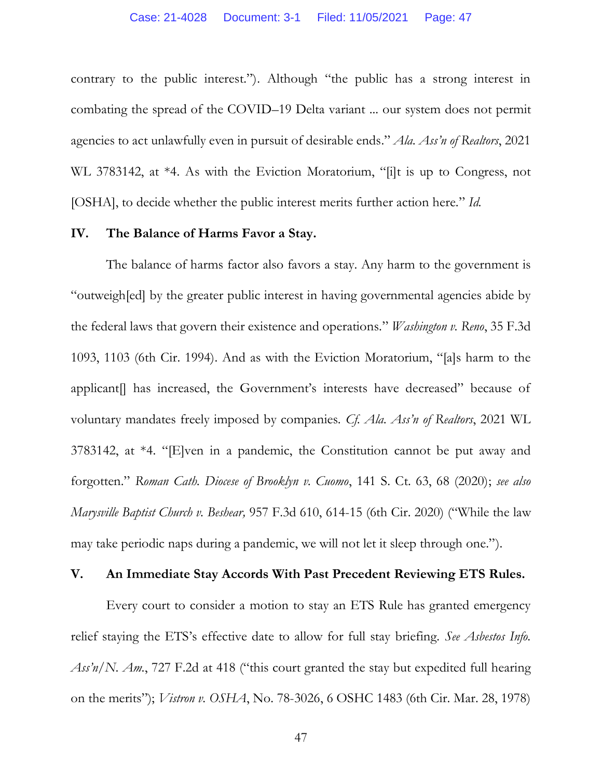contrary to the public interest."). Although "the public has a strong interest in combating the spread of the COVID–19 Delta variant ... our system does not permit agencies to act unlawfully even in pursuit of desirable ends." *Ala. Ass'n of Realtors*, 2021 WL 3783142, at \*4. As with the Eviction Moratorium, "[i]t is up to Congress, not [OSHA], to decide whether the public interest merits further action here." *Id.*

### **IV. The Balance of Harms Favor a Stay.**

The balance of harms factor also favors a stay. Any harm to the government is "outweigh[ed] by the greater public interest in having governmental agencies abide by the federal laws that govern their existence and operations." *Washington v. Reno*, 35 F.3d 1093, 1103 (6th Cir. 1994). And as with the Eviction Moratorium, "[a]s harm to the applicant. Thas increased, the Government's interests have decreased" because of voluntary mandates freely imposed by companies. *Cf. Ala. Ass'n of Realtors*, 2021 WL 3783142, at \*4. "[E]ven in a pandemic, the Constitution cannot be put away and forgotten." *Roman Cath. Diocese of Brooklyn v. Cuomo*, 141 S. Ct. 63, 68 (2020); *see also Marysville Baptist Church v. Beshear,* 957 F.3d 610, 614-15 (6th Cir. 2020) ("While the law may take periodic naps during a pandemic, we will not let it sleep through one.").

# **V. An Immediate Stay Accords With Past Precedent Reviewing ETS Rules.**

Every court to consider a motion to stay an ETS Rule has granted emergency relief staying the ETS's effective date to allow for full stay briefing. *See Asbestos Info. Ass'n/N. Am.*, 727 F.2d at 418 ("this court granted the stay but expedited full hearing on the merits"); *Vistron v. OSHA*, No. 78-3026, 6 OSHC 1483 (6th Cir. Mar. 28, 1978)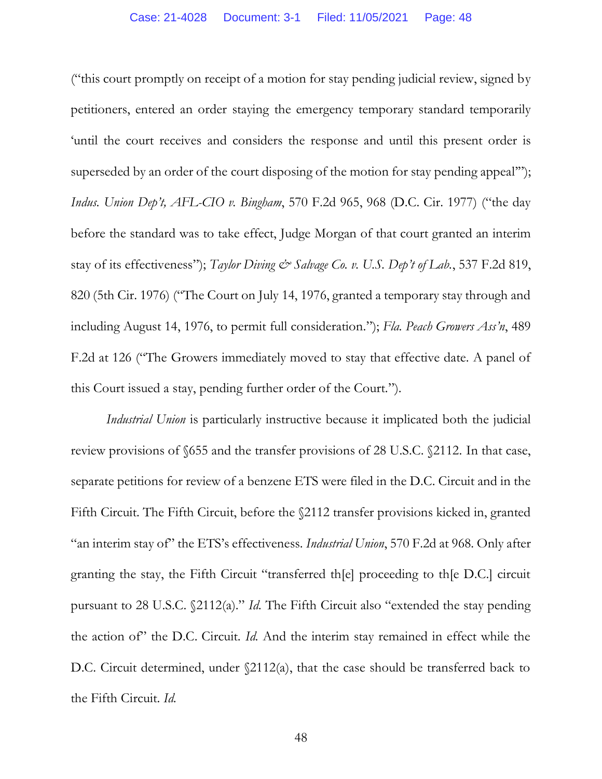("this court promptly on receipt of a motion for stay pending judicial review, signed by petitioners, entered an order staying the emergency temporary standard temporarily 'until the court receives and considers the response and until this present order is superseded by an order of the court disposing of the motion for stay pending appeal'"); *Indus. Union Dep't, AFL-CIO v. Bingham*, 570 F.2d 965, 968 (D.C. Cir. 1977) ("the day before the standard was to take effect, Judge Morgan of that court granted an interim stay of its effectiveness"); *Taylor Diving & Salvage Co. v. U.S. Dep't of Lab.*, 537 F.2d 819, 820 (5th Cir. 1976) ("The Court on July 14, 1976, granted a temporary stay through and including August 14, 1976, to permit full consideration."); *Fla. Peach Growers Ass'n*, 489 F.2d at 126 ("The Growers immediately moved to stay that effective date. A panel of this Court issued a stay, pending further order of the Court.").

*Industrial Union* is particularly instructive because it implicated both the judicial review provisions of §655 and the transfer provisions of 28 U.S.C. §2112. In that case, separate petitions for review of a benzene ETS were filed in the D.C. Circuit and in the Fifth Circuit. The Fifth Circuit, before the §2112 transfer provisions kicked in, granted "an interim stay of" the ETS's effectiveness. *Industrial Union*, 570 F.2d at 968. Only after granting the stay, the Fifth Circuit "transferred th[e] proceeding to th[e D.C.] circuit pursuant to 28 U.S.C. §2112(a)." *Id.* The Fifth Circuit also "extended the stay pending the action of" the D.C. Circuit. *Id.* And the interim stay remained in effect while the D.C. Circuit determined, under  $\Omega$ 112(a), that the case should be transferred back to the Fifth Circuit. *Id.*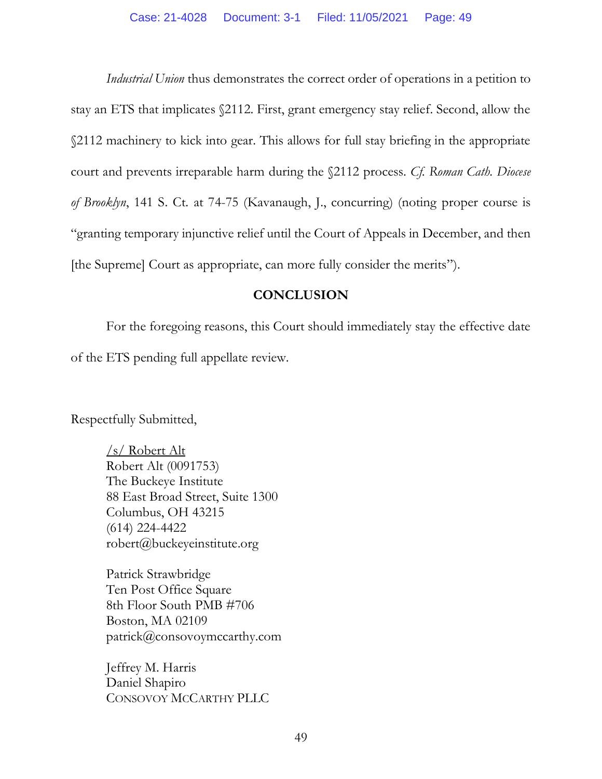*Industrial Union* thus demonstrates the correct order of operations in a petition to stay an ETS that implicates §2112. First, grant emergency stay relief. Second, allow the §2112 machinery to kick into gear. This allows for full stay briefing in the appropriate court and prevents irreparable harm during the §2112 process. *Cf. Roman Cath. Diocese of Brooklyn*, 141 S. Ct. at 74-75 (Kavanaugh, J., concurring) (noting proper course is "granting temporary injunctive relief until the Court of Appeals in December, and then [the Supreme] Court as appropriate, can more fully consider the merits").

# **CONCLUSION**

For the foregoing reasons, this Court should immediately stay the effective date of the ETS pending full appellate review.

Respectfully Submitted,

/s/ Robert Alt Robert Alt (0091753) The Buckeye Institute 88 East Broad Street, Suite 1300 Columbus, OH 43215 (614) 224-4422 robert@buckeyeinstitute.org

Patrick Strawbridge Ten Post Office Square 8th Floor South PMB #706 Boston, MA 02109 patrick@consovoymccarthy.com

Jeffrey M. Harris Daniel Shapiro CONSOVOY MCCARTHY PLLC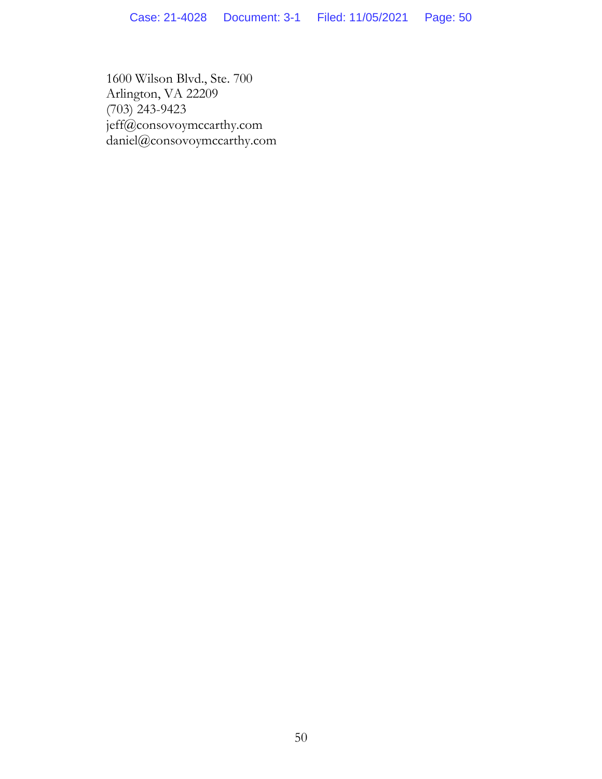1600 Wilson Blvd., Ste. 700 Arlington, VA 22209 (703) 243-9423 jeff@consovoymccarthy.com daniel@consovoymccarthy.com